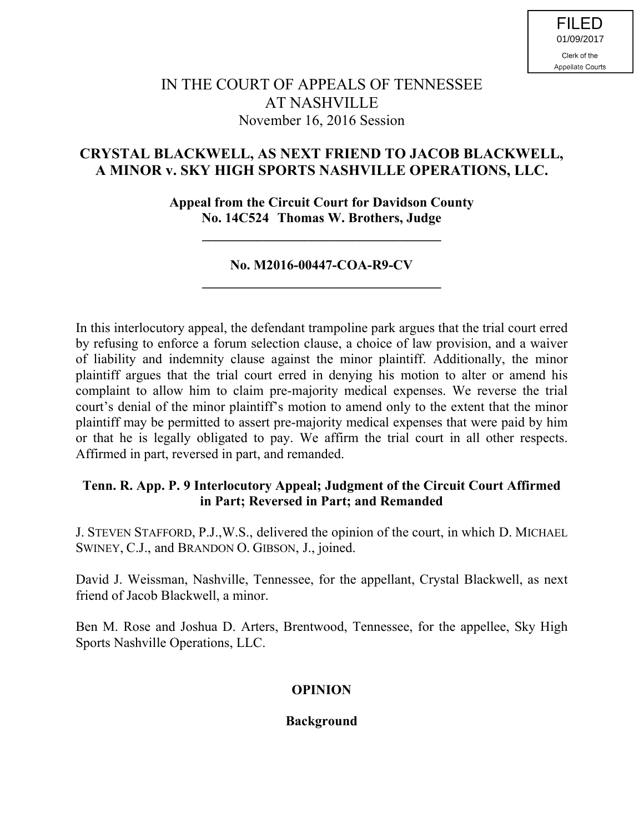# IN THE COURT OF APPEALS OF TENNESSEE AT NASHVILLE November 16, 2016 Session

## **CRYSTAL BLACKWELL, AS NEXT FRIEND TO JACOB BLACKWELL, A MINOR v. SKY HIGH SPORTS NASHVILLE OPERATIONS, LLC.**

**Appeal from the Circuit Court for Davidson County No. 14C524 Thomas W. Brothers, Judge**

**\_\_\_\_\_\_\_\_\_\_\_\_\_\_\_\_\_\_\_\_\_\_\_\_\_\_\_\_\_\_\_\_\_\_\_**

## **No. M2016-00447-COA-R9-CV \_\_\_\_\_\_\_\_\_\_\_\_\_\_\_\_\_\_\_\_\_\_\_\_\_\_\_\_\_\_\_\_\_\_\_**

In this interlocutory appeal, the defendant trampoline park argues that the trial court erred by refusing to enforce a forum selection clause, a choice of law provision, and a waiver of liability and indemnity clause against the minor plaintiff. Additionally, the minor plaintiff argues that the trial court erred in denying his motion to alter or amend his complaint to allow him to claim pre-majority medical expenses. We reverse the trial court's denial of the minor plaintiff's motion to amend only to the extent that the minor plaintiff may be permitted to assert pre-majority medical expenses that were paid by him or that he is legally obligated to pay. We affirm the trial court in all other respects. Affirmed in part, reversed in part, and remanded.

## **Tenn. R. App. P. 9 Interlocutory Appeal; Judgment of the Circuit Court Affirmed in Part; Reversed in Part; and Remanded**

J. STEVEN STAFFORD, P.J.,W.S., delivered the opinion of the court, in which D. MICHAEL SWINEY, C.J., and BRANDON O. GIBSON, J., joined.

David J. Weissman, Nashville, Tennessee, for the appellant, Crystal Blackwell, as next friend of Jacob Blackwell, a minor.

Ben M. Rose and Joshua D. Arters, Brentwood, Tennessee, for the appellee, Sky High Sports Nashville Operations, LLC.

## **OPINION**

## **Background**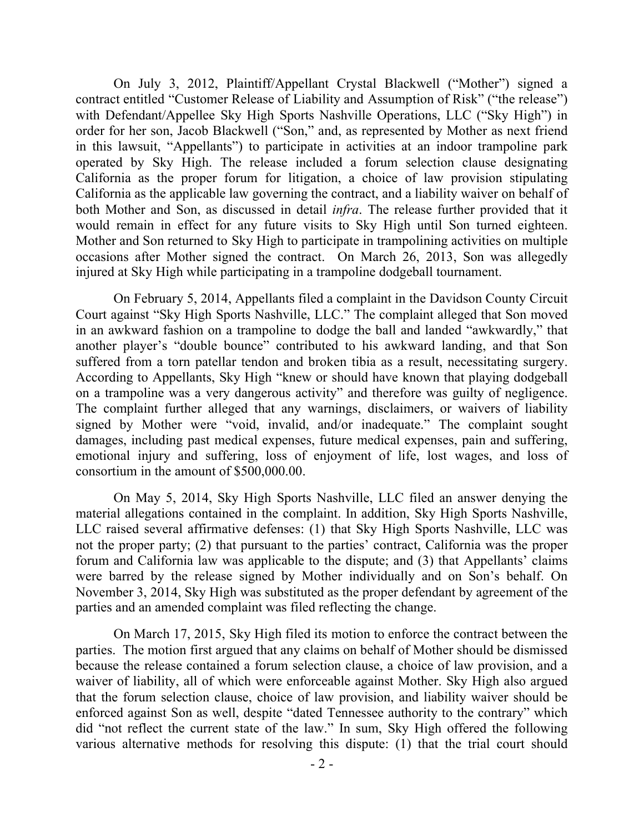On July 3, 2012, Plaintiff/Appellant Crystal Blackwell ("Mother") signed a contract entitled "Customer Release of Liability and Assumption of Risk" ("the release") with Defendant/Appellee Sky High Sports Nashville Operations, LLC ("Sky High") in order for her son, Jacob Blackwell ("Son," and, as represented by Mother as next friend in this lawsuit, "Appellants") to participate in activities at an indoor trampoline park operated by Sky High. The release included a forum selection clause designating California as the proper forum for litigation, a choice of law provision stipulating California as the applicable law governing the contract, and a liability waiver on behalf of both Mother and Son, as discussed in detail *infra*. The release further provided that it would remain in effect for any future visits to Sky High until Son turned eighteen. Mother and Son returned to Sky High to participate in trampolining activities on multiple occasions after Mother signed the contract. On March 26, 2013, Son was allegedly injured at Sky High while participating in a trampoline dodgeball tournament.

On February 5, 2014, Appellants filed a complaint in the Davidson County Circuit Court against "Sky High Sports Nashville, LLC." The complaint alleged that Son moved in an awkward fashion on a trampoline to dodge the ball and landed "awkwardly," that another player's "double bounce" contributed to his awkward landing, and that Son suffered from a torn patellar tendon and broken tibia as a result, necessitating surgery. According to Appellants, Sky High "knew or should have known that playing dodgeball on a trampoline was a very dangerous activity" and therefore was guilty of negligence. The complaint further alleged that any warnings, disclaimers, or waivers of liability signed by Mother were "void, invalid, and/or inadequate." The complaint sought damages, including past medical expenses, future medical expenses, pain and suffering, emotional injury and suffering, loss of enjoyment of life, lost wages, and loss of consortium in the amount of \$500,000.00.

On May 5, 2014, Sky High Sports Nashville, LLC filed an answer denying the material allegations contained in the complaint. In addition, Sky High Sports Nashville, LLC raised several affirmative defenses: (1) that Sky High Sports Nashville, LLC was not the proper party; (2) that pursuant to the parties' contract, California was the proper forum and California law was applicable to the dispute; and (3) that Appellants' claims were barred by the release signed by Mother individually and on Son's behalf. On November 3, 2014, Sky High was substituted as the proper defendant by agreement of the parties and an amended complaint was filed reflecting the change.

On March 17, 2015, Sky High filed its motion to enforce the contract between the parties. The motion first argued that any claims on behalf of Mother should be dismissed because the release contained a forum selection clause, a choice of law provision, and a waiver of liability, all of which were enforceable against Mother. Sky High also argued that the forum selection clause, choice of law provision, and liability waiver should be enforced against Son as well, despite "dated Tennessee authority to the contrary" which did "not reflect the current state of the law." In sum, Sky High offered the following various alternative methods for resolving this dispute: (1) that the trial court should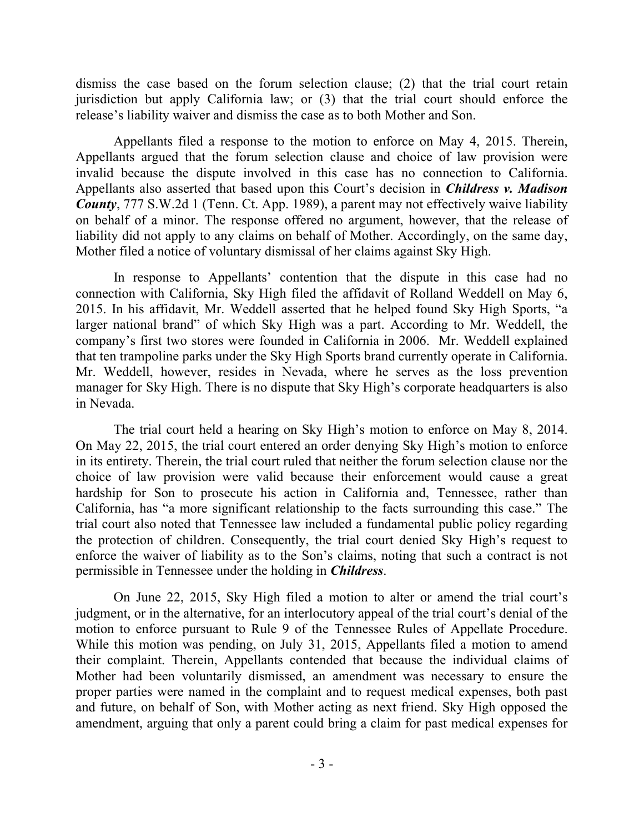dismiss the case based on the forum selection clause; (2) that the trial court retain jurisdiction but apply California law; or (3) that the trial court should enforce the release's liability waiver and dismiss the case as to both Mother and Son.

Appellants filed a response to the motion to enforce on May 4, 2015. Therein, Appellants argued that the forum selection clause and choice of law provision were invalid because the dispute involved in this case has no connection to California. Appellants also asserted that based upon this Court's decision in *Childress v. Madison County*, 777 S.W.2d 1 (Tenn. Ct. App. 1989), a parent may not effectively waive liability on behalf of a minor. The response offered no argument, however, that the release of liability did not apply to any claims on behalf of Mother. Accordingly, on the same day, Mother filed a notice of voluntary dismissal of her claims against Sky High.

In response to Appellants' contention that the dispute in this case had no connection with California, Sky High filed the affidavit of Rolland Weddell on May 6, 2015. In his affidavit, Mr. Weddell asserted that he helped found Sky High Sports, "a larger national brand" of which Sky High was a part. According to Mr. Weddell, the company's first two stores were founded in California in 2006. Mr. Weddell explained that ten trampoline parks under the Sky High Sports brand currently operate in California. Mr. Weddell, however, resides in Nevada, where he serves as the loss prevention manager for Sky High. There is no dispute that Sky High's corporate headquarters is also in Nevada.

The trial court held a hearing on Sky High's motion to enforce on May 8, 2014. On May 22, 2015, the trial court entered an order denying Sky High's motion to enforce in its entirety. Therein, the trial court ruled that neither the forum selection clause nor the choice of law provision were valid because their enforcement would cause a great hardship for Son to prosecute his action in California and, Tennessee, rather than California, has "a more significant relationship to the facts surrounding this case." The trial court also noted that Tennessee law included a fundamental public policy regarding the protection of children. Consequently, the trial court denied Sky High's request to enforce the waiver of liability as to the Son's claims, noting that such a contract is not permissible in Tennessee under the holding in *Childress*.

On June 22, 2015, Sky High filed a motion to alter or amend the trial court's judgment, or in the alternative, for an interlocutory appeal of the trial court's denial of the motion to enforce pursuant to Rule 9 of the Tennessee Rules of Appellate Procedure. While this motion was pending, on July 31, 2015, Appellants filed a motion to amend their complaint. Therein, Appellants contended that because the individual claims of Mother had been voluntarily dismissed, an amendment was necessary to ensure the proper parties were named in the complaint and to request medical expenses, both past and future, on behalf of Son, with Mother acting as next friend. Sky High opposed the amendment, arguing that only a parent could bring a claim for past medical expenses for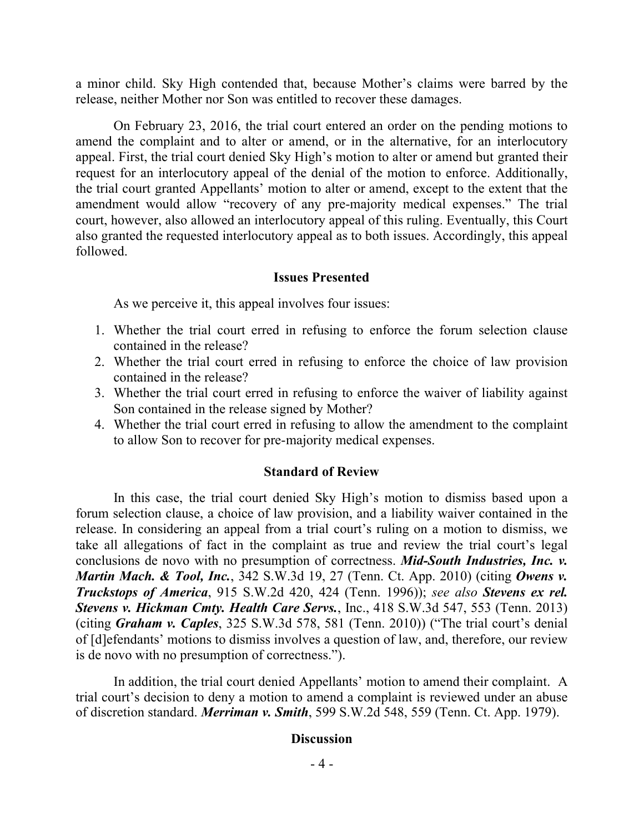a minor child. Sky High contended that, because Mother's claims were barred by the release, neither Mother nor Son was entitled to recover these damages.

On February 23, 2016, the trial court entered an order on the pending motions to amend the complaint and to alter or amend, or in the alternative, for an interlocutory appeal. First, the trial court denied Sky High's motion to alter or amend but granted their request for an interlocutory appeal of the denial of the motion to enforce. Additionally, the trial court granted Appellants' motion to alter or amend, except to the extent that the amendment would allow "recovery of any pre-majority medical expenses." The trial court, however, also allowed an interlocutory appeal of this ruling. Eventually, this Court also granted the requested interlocutory appeal as to both issues. Accordingly, this appeal followed.

## **Issues Presented**

As we perceive it, this appeal involves four issues:

- 1. Whether the trial court erred in refusing to enforce the forum selection clause contained in the release?
- 2. Whether the trial court erred in refusing to enforce the choice of law provision contained in the release?
- 3. Whether the trial court erred in refusing to enforce the waiver of liability against Son contained in the release signed by Mother?
- 4. Whether the trial court erred in refusing to allow the amendment to the complaint to allow Son to recover for pre-majority medical expenses.

### **Standard of Review**

In this case, the trial court denied Sky High's motion to dismiss based upon a forum selection clause, a choice of law provision, and a liability waiver contained in the release. In considering an appeal from a trial court's ruling on a motion to dismiss, we take all allegations of fact in the complaint as true and review the trial court's legal conclusions de novo with no presumption of correctness. *Mid-South Industries, Inc. v. Martin Mach. & Tool, Inc.*, 342 S.W.3d 19, 27 (Tenn. Ct. App. 2010) (citing *Owens v. Truckstops of America*, 915 S.W.2d 420, 424 (Tenn. 1996)); *see also Stevens ex rel. Stevens v. Hickman Cmty. Health Care Servs.*, Inc., 418 S.W.3d 547, 553 (Tenn. 2013) (citing *Graham v. Caples*, 325 S.W.3d 578, 581 (Tenn. 2010)) ("The trial court's denial of [d]efendants' motions to dismiss involves a question of law, and, therefore, our review is de novo with no presumption of correctness.").

In addition, the trial court denied Appellants' motion to amend their complaint. A trial court's decision to deny a motion to amend a complaint is reviewed under an abuse of discretion standard. *Merriman v. Smith*, 599 S.W.2d 548, 559 (Tenn. Ct. App. 1979).

#### **Discussion**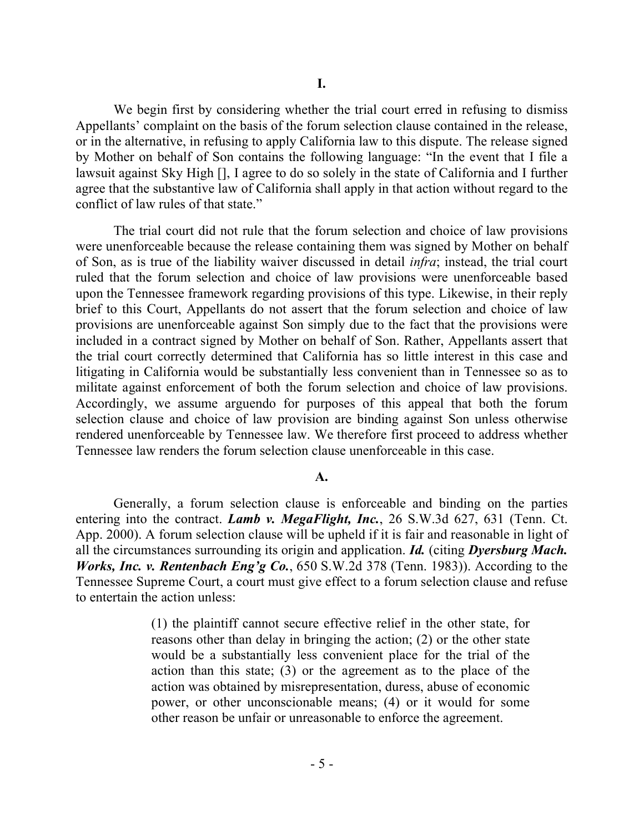We begin first by considering whether the trial court erred in refusing to dismiss Appellants' complaint on the basis of the forum selection clause contained in the release, or in the alternative, in refusing to apply California law to this dispute. The release signed by Mother on behalf of Son contains the following language: "In the event that I file a lawsuit against Sky High [], I agree to do so solely in the state of California and I further agree that the substantive law of California shall apply in that action without regard to the conflict of law rules of that state."

The trial court did not rule that the forum selection and choice of law provisions were unenforceable because the release containing them was signed by Mother on behalf of Son, as is true of the liability waiver discussed in detail *infra*; instead, the trial court ruled that the forum selection and choice of law provisions were unenforceable based upon the Tennessee framework regarding provisions of this type. Likewise, in their reply brief to this Court, Appellants do not assert that the forum selection and choice of law provisions are unenforceable against Son simply due to the fact that the provisions were included in a contract signed by Mother on behalf of Son. Rather, Appellants assert that the trial court correctly determined that California has so little interest in this case and litigating in California would be substantially less convenient than in Tennessee so as to militate against enforcement of both the forum selection and choice of law provisions. Accordingly, we assume arguendo for purposes of this appeal that both the forum selection clause and choice of law provision are binding against Son unless otherwise rendered unenforceable by Tennessee law. We therefore first proceed to address whether Tennessee law renders the forum selection clause unenforceable in this case.

#### **A.**

Generally, a forum selection clause is enforceable and binding on the parties entering into the contract. *Lamb v. MegaFlight, Inc.*, 26 S.W.3d 627, 631 (Tenn. Ct. App. 2000). A forum selection clause will be upheld if it is fair and reasonable in light of all the circumstances surrounding its origin and application. *Id.* (citing *Dyersburg Mach. Works, Inc. v. Rentenbach Eng'g Co.*, 650 S.W.2d 378 (Tenn. 1983)). According to the Tennessee Supreme Court, a court must give effect to a forum selection clause and refuse to entertain the action unless:

> (1) the plaintiff cannot secure effective relief in the other state, for reasons other than delay in bringing the action; (2) or the other state would be a substantially less convenient place for the trial of the action than this state; (3) or the agreement as to the place of the action was obtained by misrepresentation, duress, abuse of economic power, or other unconscionable means; (4) or it would for some other reason be unfair or unreasonable to enforce the agreement.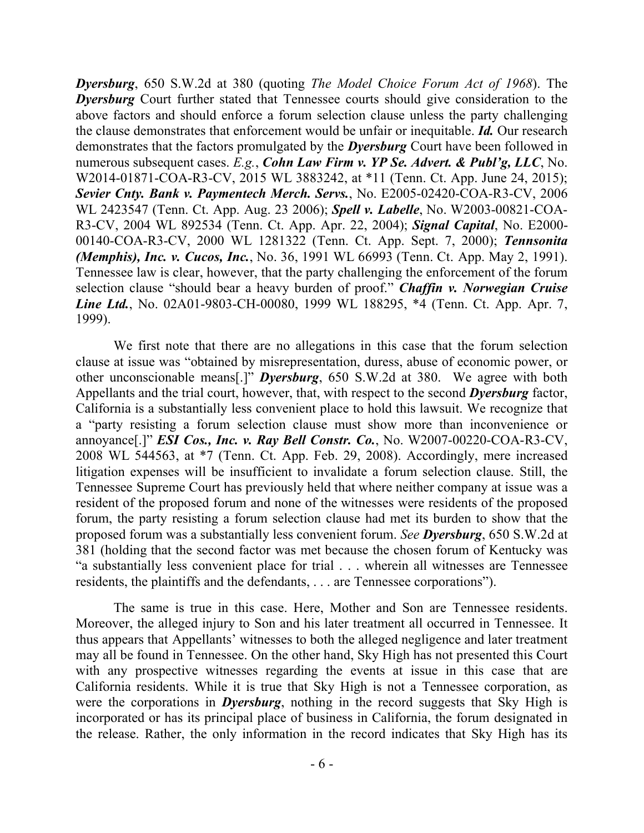*Dyersburg*, 650 S.W.2d at 380 (quoting *The Model Choice Forum Act of 1968*). The *Dyersburg* Court further stated that Tennessee courts should give consideration to the above factors and should enforce a forum selection clause unless the party challenging the clause demonstrates that enforcement would be unfair or inequitable. *Id.* Our research demonstrates that the factors promulgated by the *Dyersburg* Court have been followed in numerous subsequent cases. *E.g.*, *Cohn Law Firm v. YP Se. Advert. & Publ'g, LLC*, No. W2014-01871-COA-R3-CV, 2015 WL 3883242, at \*11 (Tenn. Ct. App. June 24, 2015); *Sevier Cnty. Bank v. Paymentech Merch. Servs.*, No. E2005-02420-COA-R3-CV, 2006 WL 2423547 (Tenn. Ct. App. Aug. 23 2006); *Spell v. Labelle*, No. W2003-00821-COA-R3-CV, 2004 WL 892534 (Tenn. Ct. App. Apr. 22, 2004); *Signal Capital*, No. E2000- 00140-COA-R3-CV, 2000 WL 1281322 (Tenn. Ct. App. Sept. 7, 2000); *Tennsonita (Memphis), Inc. v. Cucos, Inc.*, No. 36, 1991 WL 66993 (Tenn. Ct. App. May 2, 1991). Tennessee law is clear, however, that the party challenging the enforcement of the forum selection clause "should bear a heavy burden of proof." *Chaffin v. Norwegian Cruise Line Ltd.*, No. 02A01-9803-CH-00080, 1999 WL 188295, \*4 (Tenn. Ct. App. Apr. 7, 1999).

We first note that there are no allegations in this case that the forum selection clause at issue was "obtained by misrepresentation, duress, abuse of economic power, or other unconscionable means[.]" *Dyersburg*, 650 S.W.2d at 380. We agree with both Appellants and the trial court, however, that, with respect to the second *Dyersburg* factor, California is a substantially less convenient place to hold this lawsuit. We recognize that a "party resisting a forum selection clause must show more than inconvenience or annoyance[.]" *ESI Cos., Inc. v. Ray Bell Constr. Co.*, No. W2007-00220-COA-R3-CV, 2008 WL 544563, at \*7 (Tenn. Ct. App. Feb. 29, 2008). Accordingly, mere increased litigation expenses will be insufficient to invalidate a forum selection clause. Still, the Tennessee Supreme Court has previously held that where neither company at issue was a resident of the proposed forum and none of the witnesses were residents of the proposed forum, the party resisting a forum selection clause had met its burden to show that the proposed forum was a substantially less convenient forum. *See Dyersburg*, 650 S.W.2d at 381 (holding that the second factor was met because the chosen forum of Kentucky was "a substantially less convenient place for trial . . . wherein all witnesses are Tennessee residents, the plaintiffs and the defendants, . . . are Tennessee corporations").

The same is true in this case. Here, Mother and Son are Tennessee residents. Moreover, the alleged injury to Son and his later treatment all occurred in Tennessee. It thus appears that Appellants' witnesses to both the alleged negligence and later treatment may all be found in Tennessee. On the other hand, Sky High has not presented this Court with any prospective witnesses regarding the events at issue in this case that are California residents. While it is true that Sky High is not a Tennessee corporation, as were the corporations in *Dyersburg*, nothing in the record suggests that Sky High is incorporated or has its principal place of business in California, the forum designated in the release. Rather, the only information in the record indicates that Sky High has its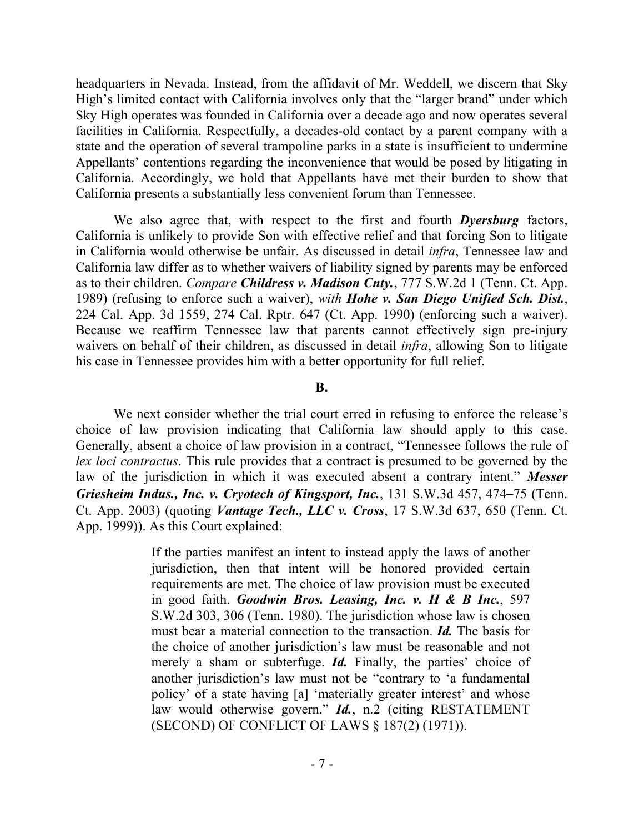headquarters in Nevada. Instead, from the affidavit of Mr. Weddell, we discern that Sky High's limited contact with California involves only that the "larger brand" under which Sky High operates was founded in California over a decade ago and now operates several facilities in California. Respectfully, a decades-old contact by a parent company with a state and the operation of several trampoline parks in a state is insufficient to undermine Appellants' contentions regarding the inconvenience that would be posed by litigating in California. Accordingly, we hold that Appellants have met their burden to show that California presents a substantially less convenient forum than Tennessee.

We also agree that, with respect to the first and fourth *Dyersburg* factors, California is unlikely to provide Son with effective relief and that forcing Son to litigate in California would otherwise be unfair. As discussed in detail *infra*, Tennessee law and California law differ as to whether waivers of liability signed by parents may be enforced as to their children. *Compare Childress v. Madison Cnty.*, 777 S.W.2d 1 (Tenn. Ct. App. 1989) (refusing to enforce such a waiver), *with Hohe v. San Diego Unified Sch. Dist.*, 224 Cal. App. 3d 1559, 274 Cal. Rptr. 647 (Ct. App. 1990) (enforcing such a waiver). Because we reaffirm Tennessee law that parents cannot effectively sign pre-injury waivers on behalf of their children, as discussed in detail *infra*, allowing Son to litigate his case in Tennessee provides him with a better opportunity for full relief.

### **B.**

We next consider whether the trial court erred in refusing to enforce the release's choice of law provision indicating that California law should apply to this case. Generally, absent a choice of law provision in a contract, "Tennessee follows the rule of *lex loci contractus*. This rule provides that a contract is presumed to be governed by the law of the jurisdiction in which it was executed absent a contrary intent." *Messer Griesheim Indus., Inc. v. Cryotech of Kingsport, Inc.*, 131 S.W.3d 457, 474–75 (Tenn. Ct. App. 2003) (quoting *Vantage Tech., LLC v. Cross*, 17 S.W.3d 637, 650 (Tenn. Ct. App. 1999)). As this Court explained:

> If the parties manifest an intent to instead apply the laws of another jurisdiction, then that intent will be honored provided certain requirements are met. The choice of law provision must be executed in good faith. *Goodwin Bros. Leasing, Inc. v. H & B Inc.*, 597 S.W.2d 303, 306 (Tenn. 1980). The jurisdiction whose law is chosen must bear a material connection to the transaction. *Id.* The basis for the choice of another jurisdiction's law must be reasonable and not merely a sham or subterfuge. *Id.* Finally, the parties' choice of another jurisdiction's law must not be "contrary to 'a fundamental policy' of a state having [a] 'materially greater interest' and whose law would otherwise govern." *Id.*, n.2 (citing RESTATEMENT (SECOND) OF CONFLICT OF LAWS § 187(2) (1971)).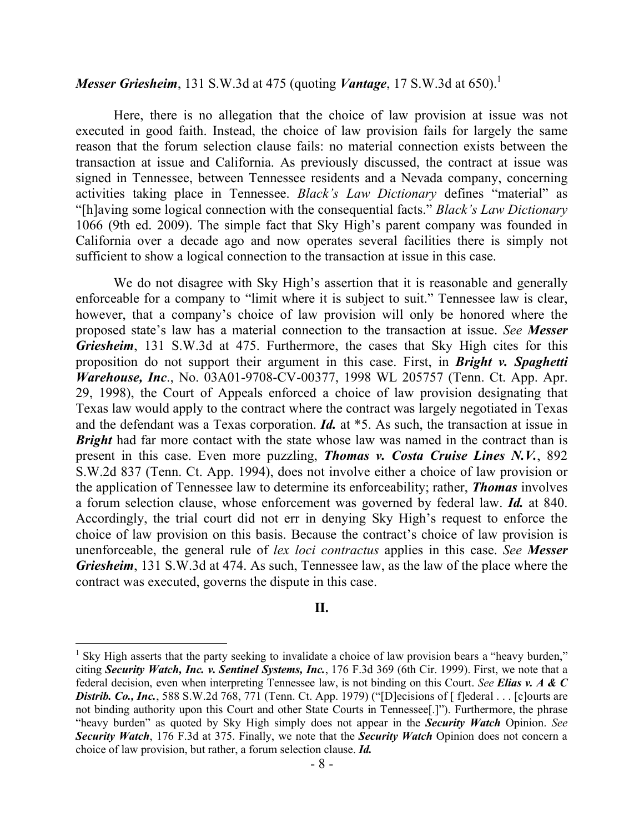## *Messer Griesheim*, 131 S.W.3d at 475 (quoting *Vantage*, 17 S.W.3d at 650).<sup>1</sup>

Here, there is no allegation that the choice of law provision at issue was not executed in good faith. Instead, the choice of law provision fails for largely the same reason that the forum selection clause fails: no material connection exists between the transaction at issue and California. As previously discussed, the contract at issue was signed in Tennessee, between Tennessee residents and a Nevada company, concerning activities taking place in Tennessee. *Black's Law Dictionary* defines "material" as "[h]aving some logical connection with the consequential facts." *Black's Law Dictionary* 1066 (9th ed. 2009). The simple fact that Sky High's parent company was founded in California over a decade ago and now operates several facilities there is simply not sufficient to show a logical connection to the transaction at issue in this case.

We do not disagree with Sky High's assertion that it is reasonable and generally enforceable for a company to "limit where it is subject to suit." Tennessee law is clear, however, that a company's choice of law provision will only be honored where the proposed state's law has a material connection to the transaction at issue. *See Messer Griesheim*, 131 S.W.3d at 475. Furthermore, the cases that Sky High cites for this proposition do not support their argument in this case. First, in *Bright v. Spaghetti Warehouse, Inc*., No. 03A01-9708-CV-00377, 1998 WL 205757 (Tenn. Ct. App. Apr. 29, 1998), the Court of Appeals enforced a choice of law provision designating that Texas law would apply to the contract where the contract was largely negotiated in Texas and the defendant was a Texas corporation. *Id.* at \*5. As such, the transaction at issue in *Bright* had far more contact with the state whose law was named in the contract than is present in this case. Even more puzzling, *Thomas v. Costa Cruise Lines N.V.*, 892 S.W.2d 837 (Tenn. Ct. App. 1994), does not involve either a choice of law provision or the application of Tennessee law to determine its enforceability; rather, *Thomas* involves a forum selection clause, whose enforcement was governed by federal law. *Id.* at 840. Accordingly, the trial court did not err in denying Sky High's request to enforce the choice of law provision on this basis. Because the contract's choice of law provision is unenforceable, the general rule of *lex loci contractus* applies in this case. *See Messer Griesheim*, 131 S.W.3d at 474. As such, Tennessee law, as the law of the place where the contract was executed, governs the dispute in this case.

## **II.**

 $\overline{a}$ 

<sup>&</sup>lt;sup>1</sup> Sky High asserts that the party seeking to invalidate a choice of law provision bears a "heavy burden," citing *Security Watch, Inc. v. Sentinel Systems, Inc.*, 176 F.3d 369 (6th Cir. 1999). First, we note that a federal decision, even when interpreting Tennessee law, is not binding on this Court. *See Elias v. A & C Distrib. Co., Inc.*, 588 S.W.2d 768, 771 (Tenn. Ct. App. 1979) ("[D]ecisions of [ f]ederal . . . [c]ourts are not binding authority upon this Court and other State Courts in Tennessee[.]"). Furthermore, the phrase "heavy burden" as quoted by Sky High simply does not appear in the *Security Watch* Opinion. *See Security Watch*, 176 F.3d at 375. Finally, we note that the *Security Watch* Opinion does not concern a choice of law provision, but rather, a forum selection clause. *Id.*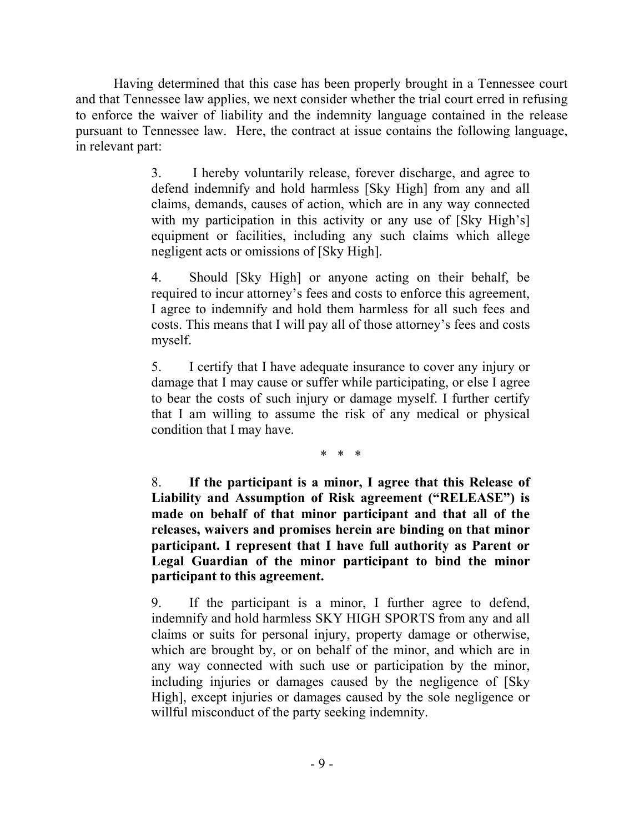Having determined that this case has been properly brought in a Tennessee court and that Tennessee law applies, we next consider whether the trial court erred in refusing to enforce the waiver of liability and the indemnity language contained in the release pursuant to Tennessee law. Here, the contract at issue contains the following language, in relevant part:

> 3. I hereby voluntarily release, forever discharge, and agree to defend indemnify and hold harmless [Sky High] from any and all claims, demands, causes of action, which are in any way connected with my participation in this activity or any use of [Sky High's] equipment or facilities, including any such claims which allege negligent acts or omissions of [Sky High].

> 4. Should [Sky High] or anyone acting on their behalf, be required to incur attorney's fees and costs to enforce this agreement, I agree to indemnify and hold them harmless for all such fees and costs. This means that I will pay all of those attorney's fees and costs myself.

> 5. I certify that I have adequate insurance to cover any injury or damage that I may cause or suffer while participating, or else I agree to bear the costs of such injury or damage myself. I further certify that I am willing to assume the risk of any medical or physical condition that I may have.

> > \* \* \*

8. **If the participant is a minor, I agree that this Release of Liability and Assumption of Risk agreement ("RELEASE") is made on behalf of that minor participant and that all of the releases, waivers and promises herein are binding on that minor participant. I represent that I have full authority as Parent or Legal Guardian of the minor participant to bind the minor participant to this agreement.**

9. If the participant is a minor, I further agree to defend, indemnify and hold harmless SKY HIGH SPORTS from any and all claims or suits for personal injury, property damage or otherwise, which are brought by, or on behalf of the minor, and which are in any way connected with such use or participation by the minor, including injuries or damages caused by the negligence of [Sky High], except injuries or damages caused by the sole negligence or willful misconduct of the party seeking indemnity.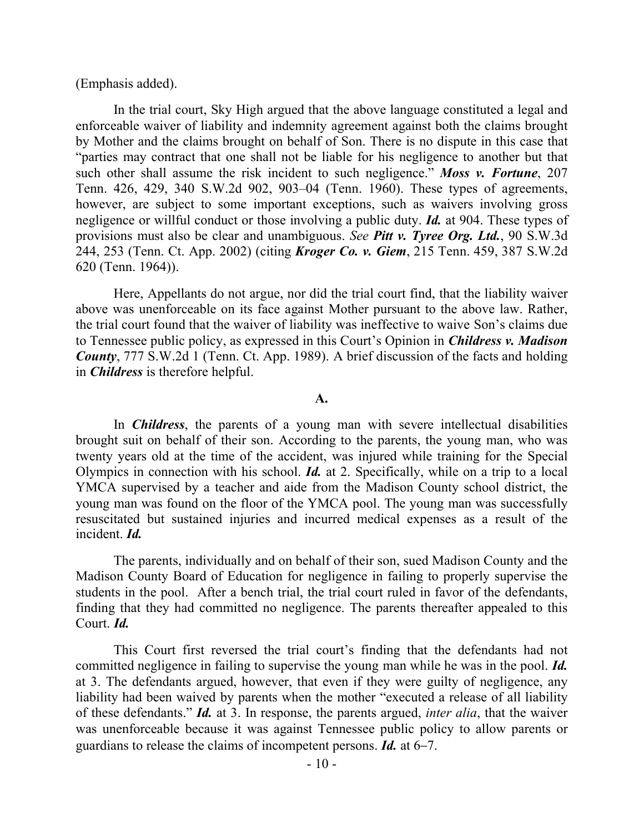### (Emphasis added).

In the trial court, Sky High argued that the above language constituted a legal and enforceable waiver of liability and indemnity agreement against both the claims brought by Mother and the claims brought on behalf of Son. There is no dispute in this case that "parties may contract that one shall not be liable for his negligence to another but that such other shall assume the risk incident to such negligence." *Moss v. Fortune*, 207 Tenn. 426, 429, 340 S.W.2d 902, 903–04 (Tenn. 1960). These types of agreements, however, are subject to some important exceptions, such as waivers involving gross negligence or willful conduct or those involving a public duty. *Id.* at 904. These types of provisions must also be clear and unambiguous. *See Pitt v. Tyree Org. Ltd.*, 90 S.W.3d 244, 253 (Tenn. Ct. App. 2002) (citing *Kroger Co. v. Giem*, 215 Tenn. 459, 387 S.W.2d 620 (Tenn. 1964)).

Here, Appellants do not argue, nor did the trial court find, that the liability waiver above was unenforceable on its face against Mother pursuant to the above law. Rather, the trial court found that the waiver of liability was ineffective to waive Son's claims due to Tennessee public policy, as expressed in this Court's Opinion in *Childress v. Madison County*, 777 S.W.2d 1 (Tenn. Ct. App. 1989). A brief discussion of the facts and holding in *Childress* is therefore helpful.

## **A.**

In *Childress*, the parents of a young man with severe intellectual disabilities brought suit on behalf of their son. According to the parents, the young man, who was twenty years old at the time of the accident, was injured while training for the Special Olympics in connection with his school. *Id.* at 2. Specifically, while on a trip to a local YMCA supervised by a teacher and aide from the Madison County school district, the young man was found on the floor of the YMCA pool. The young man was successfully resuscitated but sustained injuries and incurred medical expenses as a result of the incident. *Id.*

The parents, individually and on behalf of their son, sued Madison County and the Madison County Board of Education for negligence in failing to properly supervise the students in the pool. After a bench trial, the trial court ruled in favor of the defendants, finding that they had committed no negligence. The parents thereafter appealed to this Court. *Id.*

This Court first reversed the trial court's finding that the defendants had not committed negligence in failing to supervise the young man while he was in the pool. *Id.* at 3. The defendants argued, however, that even if they were guilty of negligence, any liability had been waived by parents when the mother "executed a release of all liability of these defendants." *Id.* at 3. In response, the parents argued, *inter alia*, that the waiver was unenforceable because it was against Tennessee public policy to allow parents or guardians to release the claims of incompetent persons. *Id.* at 6–7.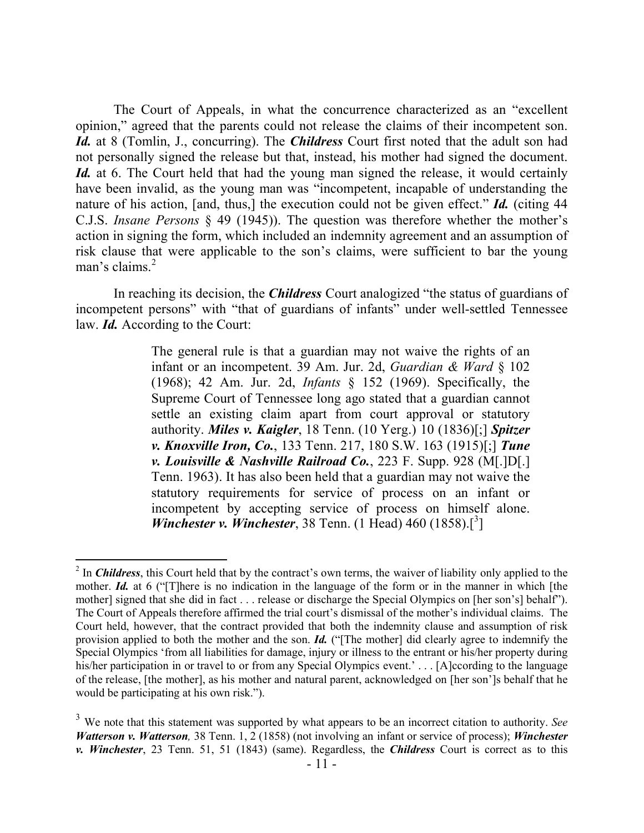The Court of Appeals, in what the concurrence characterized as an "excellent opinion," agreed that the parents could not release the claims of their incompetent son. Id. at 8 (Tomlin, J., concurring). The *Childress* Court first noted that the adult son had not personally signed the release but that, instead, his mother had signed the document. *Id.* at 6. The Court held that had the young man signed the release, it would certainly have been invalid, as the young man was "incompetent, incapable of understanding the nature of his action, [and, thus,] the execution could not be given effect." *Id.* (citing 44 C.J.S. *Insane Persons* § 49 (1945)). The question was therefore whether the mother's action in signing the form, which included an indemnity agreement and an assumption of risk clause that were applicable to the son's claims, were sufficient to bar the young man's claims.<sup>2</sup>

In reaching its decision, the *Childress* Court analogized "the status of guardians of incompetent persons" with "that of guardians of infants" under well-settled Tennessee law. *Id.* According to the Court:

> The general rule is that a guardian may not waive the rights of an infant or an incompetent. 39 Am. Jur. 2d, *Guardian & Ward* § 102 (1968); 42 Am. Jur. 2d, *Infants* § 152 (1969). Specifically, the Supreme Court of Tennessee long ago stated that a guardian cannot settle an existing claim apart from court approval or statutory authority. *Miles v. Kaigler*, 18 Tenn. (10 Yerg.) 10 (1836)[;] *Spitzer v. Knoxville Iron, Co.*, 133 Tenn. 217, 180 S.W. 163 (1915)[;] *Tune v. Louisville & Nashville Railroad Co.*, 223 F. Supp. 928 (M[.]D[.] Tenn. 1963). It has also been held that a guardian may not waive the statutory requirements for service of process on an infant or incompetent by accepting service of process on himself alone. *Winchester v. Winchester*, 38 Tenn. (1 Head) 460 (1858).<sup>[3</sup>]

 $\overline{a}$ 

<sup>&</sup>lt;sup>2</sup> In *Childress*, this Court held that by the contract's own terms, the waiver of liability only applied to the mother. *Id.* at 6 ("There is no indication in the language of the form or in the manner in which [the mother] signed that she did in fact . . . release or discharge the Special Olympics on [her son's] behalf"). The Court of Appeals therefore affirmed the trial court's dismissal of the mother's individual claims. The Court held, however, that the contract provided that both the indemnity clause and assumption of risk provision applied to both the mother and the son. *Id.* ("[The mother] did clearly agree to indemnify the Special Olympics 'from all liabilities for damage, injury or illness to the entrant or his/her property during his/her participation in or travel to or from any Special Olympics event.' . . . [A]ccording to the language of the release, [the mother], as his mother and natural parent, acknowledged on [her son']s behalf that he would be participating at his own risk.").

<sup>3</sup> We note that this statement was supported by what appears to be an incorrect citation to authority. *See Watterson v. Watterson,* 38 Tenn. 1, 2 (1858) (not involving an infant or service of process); *Winchester v. Winchester*, 23 Tenn. 51, 51 (1843) (same). Regardless, the *Childress* Court is correct as to this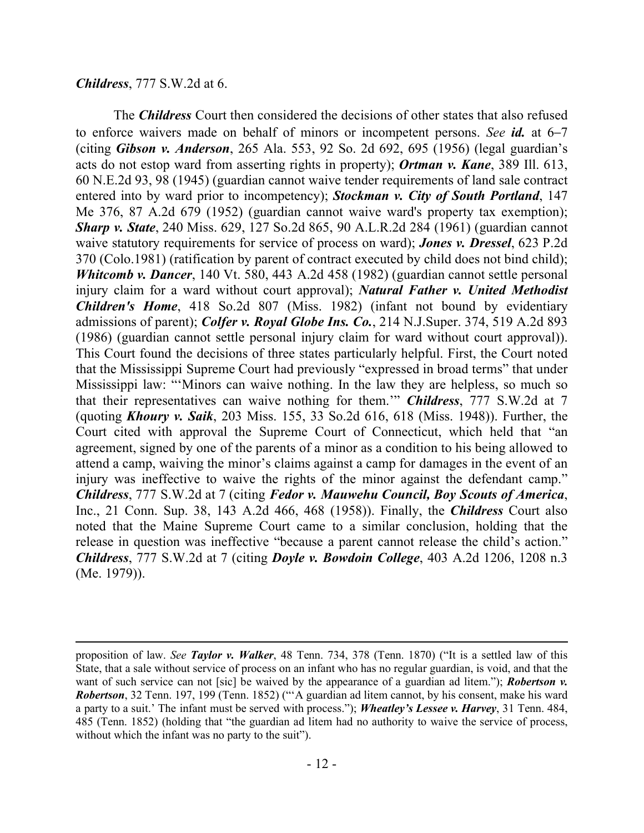### *Childress*, 777 S.W.2d at 6.

 $\overline{a}$ 

The *Childress* Court then considered the decisions of other states that also refused to enforce waivers made on behalf of minors or incompetent persons. *See id.* at 6–7 (citing *Gibson v. Anderson*, 265 Ala. 553, 92 So. 2d 692, 695 (1956) (legal guardian's acts do not estop ward from asserting rights in property); *Ortman v. Kane*, 389 Ill. 613, 60 N.E.2d 93, 98 (1945) (guardian cannot waive tender requirements of land sale contract entered into by ward prior to incompetency); *Stockman v. City of South Portland*, 147 Me 376, 87 A.2d 679 (1952) (guardian cannot waive ward's property tax exemption); *Sharp v. State*, 240 Miss. 629, 127 So.2d 865, 90 A.L.R.2d 284 (1961) (guardian cannot waive statutory requirements for service of process on ward); *Jones v. Dressel*, 623 P.2d 370 (Colo.1981) (ratification by parent of contract executed by child does not bind child); *Whitcomb v. Dancer*, 140 Vt. 580, 443 A.2d 458 (1982) (guardian cannot settle personal injury claim for a ward without court approval); *Natural Father v. United Methodist Children's Home*, 418 So.2d 807 (Miss. 1982) (infant not bound by evidentiary admissions of parent); *Colfer v. Royal Globe Ins. Co.*, 214 N.J.Super. 374, 519 A.2d 893 (1986) (guardian cannot settle personal injury claim for ward without court approval)). This Court found the decisions of three states particularly helpful. First, the Court noted that the Mississippi Supreme Court had previously "expressed in broad terms" that under Mississippi law: "'Minors can waive nothing. In the law they are helpless, so much so that their representatives can waive nothing for them.'" *Childress*, 777 S.W.2d at 7 (quoting *Khoury v. Saik*, 203 Miss. 155, 33 So.2d 616, 618 (Miss. 1948)). Further, the Court cited with approval the Supreme Court of Connecticut, which held that "an agreement, signed by one of the parents of a minor as a condition to his being allowed to attend a camp, waiving the minor's claims against a camp for damages in the event of an injury was ineffective to waive the rights of the minor against the defendant camp." *Childress*, 777 S.W.2d at 7 (citing *Fedor v. Mauwehu Council, Boy Scouts of America*, Inc., 21 Conn. Sup. 38, 143 A.2d 466, 468 (1958)). Finally, the *Childress* Court also noted that the Maine Supreme Court came to a similar conclusion, holding that the release in question was ineffective "because a parent cannot release the child's action." *Childress*, 777 S.W.2d at 7 (citing *Doyle v. Bowdoin College*, 403 A.2d 1206, 1208 n.3 (Me. 1979)).

proposition of law. *See Taylor v. Walker*, 48 Tenn. 734, 378 (Tenn. 1870) ("It is a settled law of this State, that a sale without service of process on an infant who has no regular guardian, is void, and that the want of such service can not [sic] be waived by the appearance of a guardian ad litem."); *Robertson v. Robertson*, 32 Tenn. 197, 199 (Tenn. 1852) ("'A guardian ad litem cannot, by his consent, make his ward a party to a suit.' The infant must be served with process."); *Wheatley's Lessee v. Harvey*, 31 Tenn. 484, 485 (Tenn. 1852) (holding that "the guardian ad litem had no authority to waive the service of process, without which the infant was no party to the suit").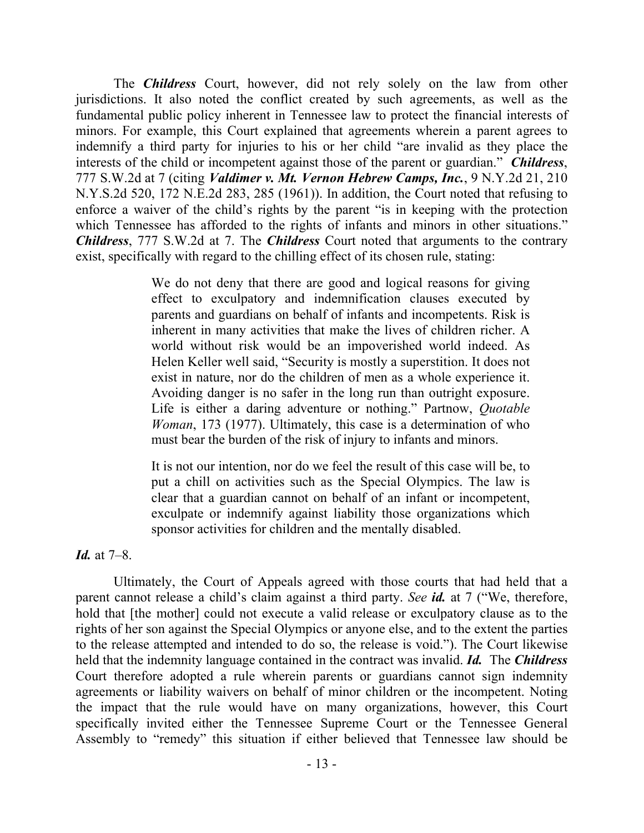The *Childress* Court, however, did not rely solely on the law from other jurisdictions. It also noted the conflict created by such agreements, as well as the fundamental public policy inherent in Tennessee law to protect the financial interests of minors. For example, this Court explained that agreements wherein a parent agrees to indemnify a third party for injuries to his or her child "are invalid as they place the interests of the child or incompetent against those of the parent or guardian." *Childress*, 777 S.W.2d at 7 (citing *Valdimer v. Mt. Vernon Hebrew Camps, Inc.*, 9 N.Y.2d 21, 210 N.Y.S.2d 520, 172 N.E.2d 283, 285 (1961)). In addition, the Court noted that refusing to enforce a waiver of the child's rights by the parent "is in keeping with the protection which Tennessee has afforded to the rights of infants and minors in other situations." *Childress*, 777 S.W.2d at 7. The *Childress* Court noted that arguments to the contrary exist, specifically with regard to the chilling effect of its chosen rule, stating:

> We do not deny that there are good and logical reasons for giving effect to exculpatory and indemnification clauses executed by parents and guardians on behalf of infants and incompetents. Risk is inherent in many activities that make the lives of children richer. A world without risk would be an impoverished world indeed. As Helen Keller well said, "Security is mostly a superstition. It does not exist in nature, nor do the children of men as a whole experience it. Avoiding danger is no safer in the long run than outright exposure. Life is either a daring adventure or nothing." Partnow, *Quotable Woman*, 173 (1977). Ultimately, this case is a determination of who must bear the burden of the risk of injury to infants and minors.

> It is not our intention, nor do we feel the result of this case will be, to put a chill on activities such as the Special Olympics. The law is clear that a guardian cannot on behalf of an infant or incompetent, exculpate or indemnify against liability those organizations which sponsor activities for children and the mentally disabled.

*Id.* at 7–8.

Ultimately, the Court of Appeals agreed with those courts that had held that a parent cannot release a child's claim against a third party. *See id.* at 7 ("We, therefore, hold that [the mother] could not execute a valid release or exculpatory clause as to the rights of her son against the Special Olympics or anyone else, and to the extent the parties to the release attempted and intended to do so, the release is void."). The Court likewise held that the indemnity language contained in the contract was invalid. *Id.* The *Childress* Court therefore adopted a rule wherein parents or guardians cannot sign indemnity agreements or liability waivers on behalf of minor children or the incompetent. Noting the impact that the rule would have on many organizations, however, this Court specifically invited either the Tennessee Supreme Court or the Tennessee General Assembly to "remedy" this situation if either believed that Tennessee law should be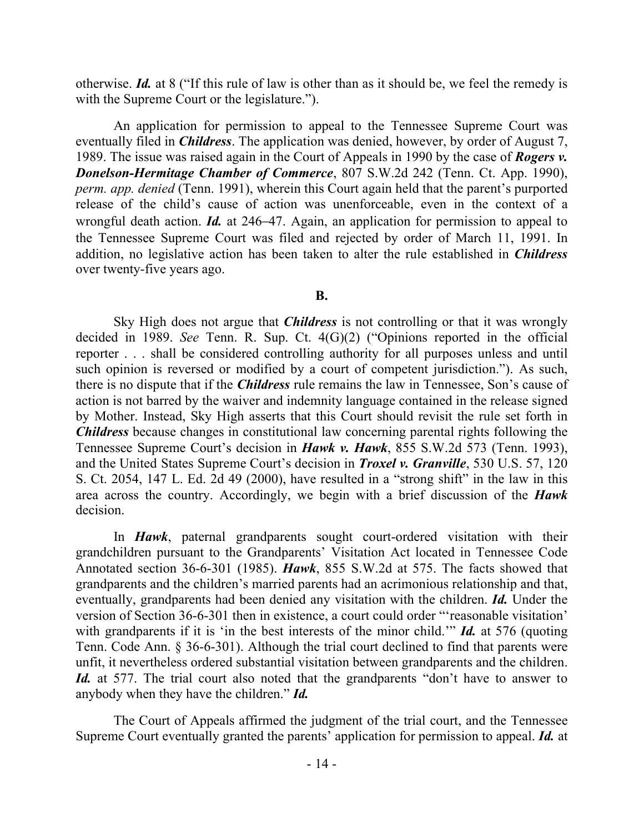otherwise. *Id.* at 8 ("If this rule of law is other than as it should be, we feel the remedy is with the Supreme Court or the legislature.").

An application for permission to appeal to the Tennessee Supreme Court was eventually filed in *Childress*. The application was denied, however, by order of August 7, 1989. The issue was raised again in the Court of Appeals in 1990 by the case of *Rogers v. Donelson-Hermitage Chamber of Commerce*, 807 S.W.2d 242 (Tenn. Ct. App. 1990), *perm. app. denied* (Tenn. 1991), wherein this Court again held that the parent's purported release of the child's cause of action was unenforceable, even in the context of a wrongful death action. *Id.* at 246–47. Again, an application for permission to appeal to the Tennessee Supreme Court was filed and rejected by order of March 11, 1991. In addition, no legislative action has been taken to alter the rule established in *Childress* over twenty-five years ago.

**B.**

Sky High does not argue that *Childress* is not controlling or that it was wrongly decided in 1989. *See* Tenn. R. Sup. Ct. 4(G)(2) ("Opinions reported in the official reporter . . . shall be considered controlling authority for all purposes unless and until such opinion is reversed or modified by a court of competent jurisdiction."). As such, there is no dispute that if the *Childress* rule remains the law in Tennessee, Son's cause of action is not barred by the waiver and indemnity language contained in the release signed by Mother. Instead, Sky High asserts that this Court should revisit the rule set forth in *Childress* because changes in constitutional law concerning parental rights following the Tennessee Supreme Court's decision in *Hawk v. Hawk*, 855 S.W.2d 573 (Tenn. 1993), and the United States Supreme Court's decision in *Troxel v. Granville*, 530 U.S. 57, 120 S. Ct. 2054, 147 L. Ed. 2d 49 (2000), have resulted in a "strong shift" in the law in this area across the country. Accordingly, we begin with a brief discussion of the *Hawk* decision.

In *Hawk*, paternal grandparents sought court-ordered visitation with their grandchildren pursuant to the Grandparents' Visitation Act located in Tennessee Code Annotated section 36-6-301 (1985). *Hawk*, 855 S.W.2d at 575. The facts showed that grandparents and the children's married parents had an acrimonious relationship and that, eventually, grandparents had been denied any visitation with the children. *Id.* Under the version of Section 36-6-301 then in existence, a court could order "'reasonable visitation' with grandparents if it is 'in the best interests of the minor child.'" *Id.* at 576 (quoting Tenn. Code Ann. § 36-6-301). Although the trial court declined to find that parents were unfit, it nevertheless ordered substantial visitation between grandparents and the children. *Id.* at 577. The trial court also noted that the grandparents "don't have to answer to anybody when they have the children." *Id.*

The Court of Appeals affirmed the judgment of the trial court, and the Tennessee Supreme Court eventually granted the parents' application for permission to appeal. *Id.* at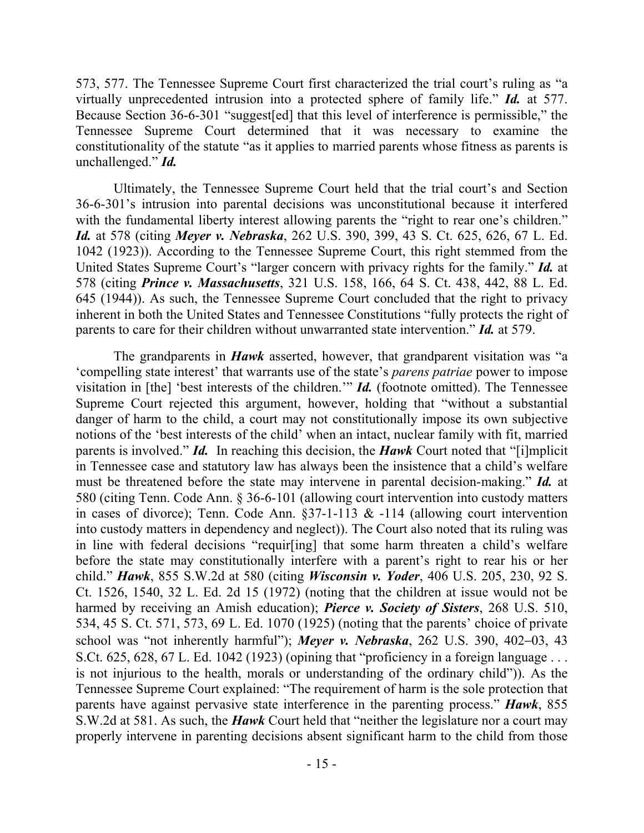573, 577. The Tennessee Supreme Court first characterized the trial court's ruling as "a virtually unprecedented intrusion into a protected sphere of family life." *Id.* at 577. Because Section 36-6-301 "suggest[ed] that this level of interference is permissible," the Tennessee Supreme Court determined that it was necessary to examine the constitutionality of the statute "as it applies to married parents whose fitness as parents is unchallenged." *Id.*

Ultimately, the Tennessee Supreme Court held that the trial court's and Section 36-6-301's intrusion into parental decisions was unconstitutional because it interfered with the fundamental liberty interest allowing parents the "right to rear one's children." *Id.* at 578 (citing *Meyer v. Nebraska*, 262 U.S. 390, 399, 43 S. Ct. 625, 626, 67 L. Ed. 1042 (1923)). According to the Tennessee Supreme Court, this right stemmed from the United States Supreme Court's "larger concern with privacy rights for the family." *Id.* at 578 (citing *Prince v. Massachusetts*, 321 U.S. 158, 166, 64 S. Ct. 438, 442, 88 L. Ed. 645 (1944)). As such, the Tennessee Supreme Court concluded that the right to privacy inherent in both the United States and Tennessee Constitutions "fully protects the right of parents to care for their children without unwarranted state intervention." *Id.* at 579.

The grandparents in *Hawk* asserted, however, that grandparent visitation was "a 'compelling state interest' that warrants use of the state's *parens patriae* power to impose visitation in [the] 'best interests of the children.'" *Id.* (footnote omitted). The Tennessee Supreme Court rejected this argument, however, holding that "without a substantial danger of harm to the child, a court may not constitutionally impose its own subjective notions of the 'best interests of the child' when an intact, nuclear family with fit, married parents is involved." *Id.* In reaching this decision, the *Hawk* Court noted that "[i]mplicit in Tennessee case and statutory law has always been the insistence that a child's welfare must be threatened before the state may intervene in parental decision-making." *Id.* at 580 (citing Tenn. Code Ann. § 36-6-101 (allowing court intervention into custody matters in cases of divorce); Tenn. Code Ann.  $\S 37$ -1-113 & -114 (allowing court intervention into custody matters in dependency and neglect)). The Court also noted that its ruling was in line with federal decisions "requir[ing] that some harm threaten a child's welfare before the state may constitutionally interfere with a parent's right to rear his or her child." *Hawk*, 855 S.W.2d at 580 (citing *Wisconsin v. Yoder*, 406 U.S. 205, 230, 92 S. Ct. 1526, 1540, 32 L. Ed. 2d 15 (1972) (noting that the children at issue would not be harmed by receiving an Amish education); *Pierce v. Society of Sisters*, 268 U.S. 510, 534, 45 S. Ct. 571, 573, 69 L. Ed. 1070 (1925) (noting that the parents' choice of private school was "not inherently harmful"); *Meyer v. Nebraska*, 262 U.S. 390, 402–03, 43 S.Ct. 625, 628, 67 L. Ed. 1042 (1923) (opining that "proficiency in a foreign language . . . is not injurious to the health, morals or understanding of the ordinary child")). As the Tennessee Supreme Court explained: "The requirement of harm is the sole protection that parents have against pervasive state interference in the parenting process." *Hawk*, 855 S.W.2d at 581. As such, the *Hawk* Court held that "neither the legislature nor a court may properly intervene in parenting decisions absent significant harm to the child from those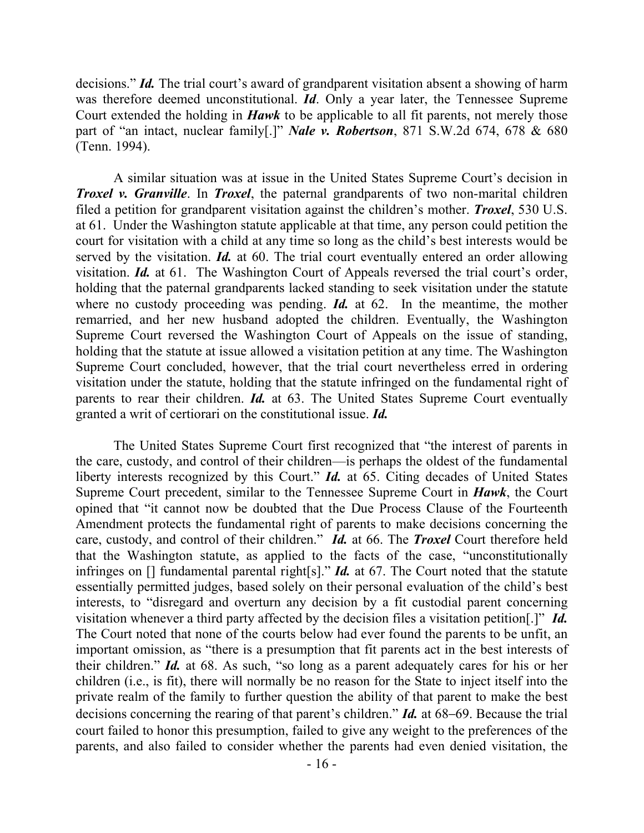decisions." *Id.* The trial court's award of grandparent visitation absent a showing of harm was therefore deemed unconstitutional. *Id*. Only a year later, the Tennessee Supreme Court extended the holding in *Hawk* to be applicable to all fit parents, not merely those part of "an intact, nuclear family[.]" *Nale v. Robertson*, 871 S.W.2d 674, 678 & 680 (Tenn. 1994).

A similar situation was at issue in the United States Supreme Court's decision in *Troxel v. Granville*. In *Troxel*, the paternal grandparents of two non-marital children filed a petition for grandparent visitation against the children's mother. *Troxel*, 530 U.S. at 61. Under the Washington statute applicable at that time, any person could petition the court for visitation with a child at any time so long as the child's best interests would be served by the visitation. *Id.* at 60. The trial court eventually entered an order allowing visitation. *Id.* at 61. The Washington Court of Appeals reversed the trial court's order, holding that the paternal grandparents lacked standing to seek visitation under the statute where no custody proceeding was pending. **Id.** at 62. In the meantime, the mother remarried, and her new husband adopted the children. Eventually, the Washington Supreme Court reversed the Washington Court of Appeals on the issue of standing, holding that the statute at issue allowed a visitation petition at any time. The Washington Supreme Court concluded, however, that the trial court nevertheless erred in ordering visitation under the statute, holding that the statute infringed on the fundamental right of parents to rear their children. *Id.* at 63. The United States Supreme Court eventually granted a writ of certiorari on the constitutional issue. *Id.*

The United States Supreme Court first recognized that "the interest of parents in the care, custody, and control of their children—is perhaps the oldest of the fundamental liberty interests recognized by this Court." *Id.* at 65. Citing decades of United States Supreme Court precedent, similar to the Tennessee Supreme Court in *Hawk*, the Court opined that "it cannot now be doubted that the Due Process Clause of the Fourteenth Amendment protects the fundamental right of parents to make decisions concerning the care, custody, and control of their children." *Id.* at 66. The *Troxel* Court therefore held that the Washington statute, as applied to the facts of the case, "unconstitutionally infringes on [] fundamental parental right[s]." *Id.* at 67. The Court noted that the statute essentially permitted judges, based solely on their personal evaluation of the child's best interests, to "disregard and overturn any decision by a fit custodial parent concerning visitation whenever a third party affected by the decision files a visitation petition[.]" *Id.*  The Court noted that none of the courts below had ever found the parents to be unfit, an important omission, as "there is a presumption that fit parents act in the best interests of their children." *Id.* at 68. As such, "so long as a parent adequately cares for his or her children (i.e., is fit), there will normally be no reason for the State to inject itself into the private realm of the family to further question the ability of that parent to make the best decisions concerning the rearing of that parent's children." *Id.* at 68–69. Because the trial court failed to honor this presumption, failed to give any weight to the preferences of the parents, and also failed to consider whether the parents had even denied visitation, the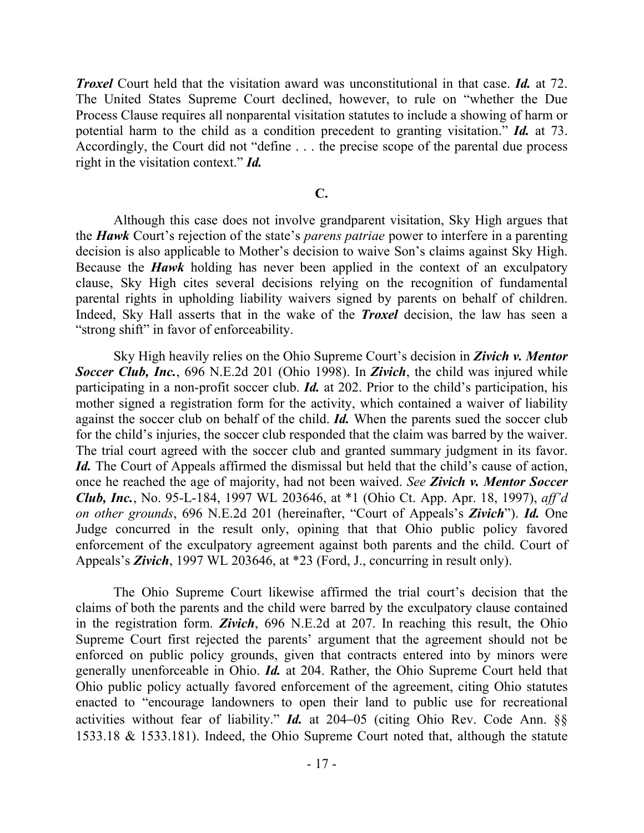*Troxel* Court held that the visitation award was unconstitutional in that case. *Id.* at 72. The United States Supreme Court declined, however, to rule on "whether the Due Process Clause requires all nonparental visitation statutes to include a showing of harm or potential harm to the child as a condition precedent to granting visitation." *Id.* at 73. Accordingly, the Court did not "define . . . the precise scope of the parental due process right in the visitation context." *Id.*

### **C.**

Although this case does not involve grandparent visitation, Sky High argues that the *Hawk* Court's rejection of the state's *parens patriae* power to interfere in a parenting decision is also applicable to Mother's decision to waive Son's claims against Sky High. Because the *Hawk* holding has never been applied in the context of an exculpatory clause, Sky High cites several decisions relying on the recognition of fundamental parental rights in upholding liability waivers signed by parents on behalf of children. Indeed, Sky Hall asserts that in the wake of the *Troxel* decision, the law has seen a "strong shift" in favor of enforceability.

Sky High heavily relies on the Ohio Supreme Court's decision in *Zivich v. Mentor Soccer Club, Inc.*, 696 N.E.2d 201 (Ohio 1998). In *Zivich*, the child was injured while participating in a non-profit soccer club. *Id.* at 202. Prior to the child's participation, his mother signed a registration form for the activity, which contained a waiver of liability against the soccer club on behalf of the child. *Id.* When the parents sued the soccer club for the child's injuries, the soccer club responded that the claim was barred by the waiver. The trial court agreed with the soccer club and granted summary judgment in its favor. *Id.* The Court of Appeals affirmed the dismissal but held that the child's cause of action, once he reached the age of majority, had not been waived. *See Zivich v. Mentor Soccer Club, Inc.*, No. 95-L-184, 1997 WL 203646, at \*1 (Ohio Ct. App. Apr. 18, 1997), *aff'd on other grounds*, 696 N.E.2d 201 (hereinafter, "Court of Appeals's *Zivich*"). *Id.* One Judge concurred in the result only, opining that that Ohio public policy favored enforcement of the exculpatory agreement against both parents and the child. Court of Appeals's *Zivich*, 1997 WL 203646, at \*23 (Ford, J., concurring in result only).

The Ohio Supreme Court likewise affirmed the trial court's decision that the claims of both the parents and the child were barred by the exculpatory clause contained in the registration form. *Zivich*, 696 N.E.2d at 207. In reaching this result, the Ohio Supreme Court first rejected the parents' argument that the agreement should not be enforced on public policy grounds, given that contracts entered into by minors were generally unenforceable in Ohio. *Id.* at 204. Rather, the Ohio Supreme Court held that Ohio public policy actually favored enforcement of the agreement, citing Ohio statutes enacted to "encourage landowners to open their land to public use for recreational activities without fear of liability." *Id.* at 204–05 (citing Ohio Rev. Code Ann. §§ 1533.18 & 1533.181). Indeed, the Ohio Supreme Court noted that, although the statute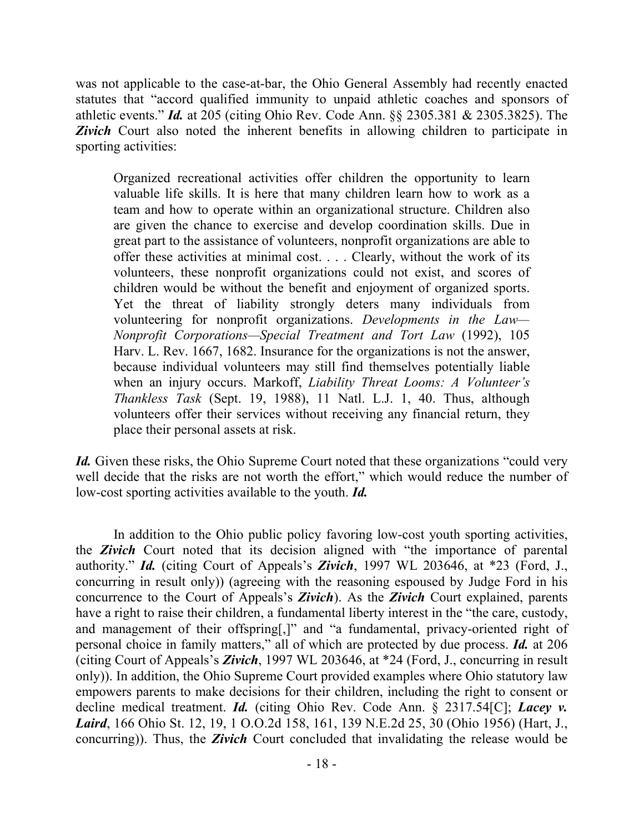was not applicable to the case-at-bar, the Ohio General Assembly had recently enacted statutes that "accord qualified immunity to unpaid athletic coaches and sponsors of athletic events." *Id.* at 205 (citing Ohio Rev. Code Ann. §§ 2305.381 & 2305.3825). The *Zivich* Court also noted the inherent benefits in allowing children to participate in sporting activities:

Organized recreational activities offer children the opportunity to learn valuable life skills. It is here that many children learn how to work as a team and how to operate within an organizational structure. Children also are given the chance to exercise and develop coordination skills. Due in great part to the assistance of volunteers, nonprofit organizations are able to offer these activities at minimal cost. . . . Clearly, without the work of its volunteers, these nonprofit organizations could not exist, and scores of children would be without the benefit and enjoyment of organized sports. Yet the threat of liability strongly deters many individuals from volunteering for nonprofit organizations. *Developments in the Law— Nonprofit Corporations—Special Treatment and Tort Law* (1992), 105 Harv. L. Rev. 1667, 1682. Insurance for the organizations is not the answer, because individual volunteers may still find themselves potentially liable when an injury occurs. Markoff, *Liability Threat Looms: A Volunteer's Thankless Task* (Sept. 19, 1988), 11 Natl. L.J. 1, 40. Thus, although volunteers offer their services without receiving any financial return, they place their personal assets at risk.

*Id.* Given these risks, the Ohio Supreme Court noted that these organizations "could very well decide that the risks are not worth the effort," which would reduce the number of low-cost sporting activities available to the youth. *Id.*

In addition to the Ohio public policy favoring low-cost youth sporting activities, the *Zivich* Court noted that its decision aligned with "the importance of parental authority." *Id.* (citing Court of Appeals's *Zivich*, 1997 WL 203646, at \*23 (Ford, J., concurring in result only)) (agreeing with the reasoning espoused by Judge Ford in his concurrence to the Court of Appeals's *Zivich*). As the *Zivich* Court explained, parents have a right to raise their children, a fundamental liberty interest in the "the care, custody, and management of their offspring[,]" and "a fundamental, privacy-oriented right of personal choice in family matters," all of which are protected by due process. *Id.* at 206 (citing Court of Appeals's *Zivich*, 1997 WL 203646, at \*24 (Ford, J., concurring in result only)). In addition, the Ohio Supreme Court provided examples where Ohio statutory law empowers parents to make decisions for their children, including the right to consent or decline medical treatment. *Id.* (citing Ohio Rev. Code Ann. § 2317.54[C]; *Lacey v. Laird*, 166 Ohio St. 12, 19, 1 O.O.2d 158, 161, 139 N.E.2d 25, 30 (Ohio 1956) (Hart, J., concurring)). Thus, the *Zivich* Court concluded that invalidating the release would be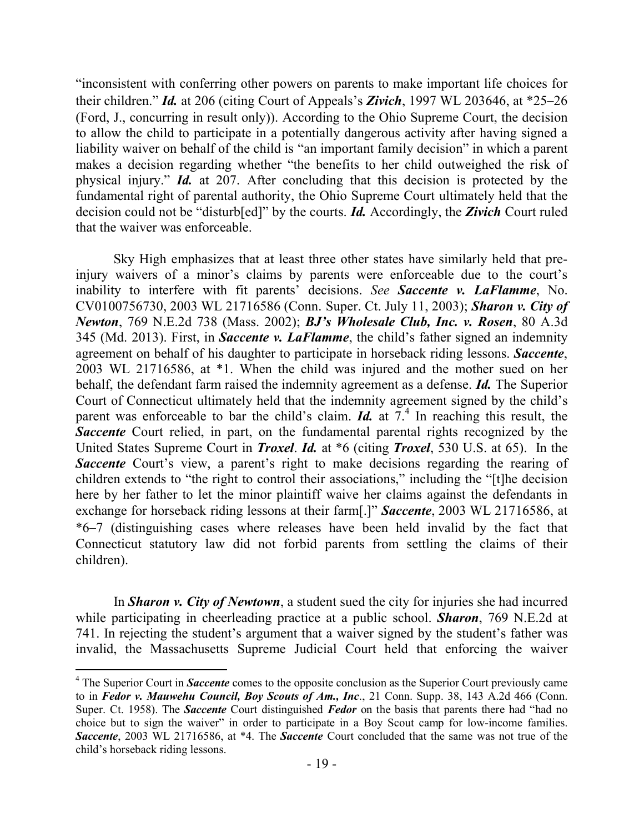"inconsistent with conferring other powers on parents to make important life choices for their children." *Id.* at 206 (citing Court of Appeals's *Zivich*, 1997 WL 203646, at \*25–26 (Ford, J., concurring in result only)). According to the Ohio Supreme Court, the decision to allow the child to participate in a potentially dangerous activity after having signed a liability waiver on behalf of the child is "an important family decision" in which a parent makes a decision regarding whether "the benefits to her child outweighed the risk of physical injury." *Id.* at 207. After concluding that this decision is protected by the fundamental right of parental authority, the Ohio Supreme Court ultimately held that the decision could not be "disturb[ed]" by the courts. *Id.* Accordingly, the *Zivich* Court ruled that the waiver was enforceable.

Sky High emphasizes that at least three other states have similarly held that preinjury waivers of a minor's claims by parents were enforceable due to the court's inability to interfere with fit parents' decisions. *See Saccente v. LaFlamme*, No. CV0100756730, 2003 WL 21716586 (Conn. Super. Ct. July 11, 2003); *Sharon v. City of Newton*, 769 N.E.2d 738 (Mass. 2002); *BJ's Wholesale Club, Inc. v. Rosen*, 80 A.3d 345 (Md. 2013). First, in *Saccente v. LaFlamme*, the child's father signed an indemnity agreement on behalf of his daughter to participate in horseback riding lessons. *Saccente*, 2003 WL 21716586, at \*1. When the child was injured and the mother sued on her behalf, the defendant farm raised the indemnity agreement as a defense. *Id.* The Superior Court of Connecticut ultimately held that the indemnity agreement signed by the child's parent was enforceable to bar the child's claim. *Id.* at  $7<sup>4</sup>$ . In reaching this result, the **Saccente** Court relied, in part, on the fundamental parental rights recognized by the United States Supreme Court in *Troxel*. *Id.* at \*6 (citing *Troxel*, 530 U.S. at 65). In the **Saccente** Court's view, a parent's right to make decisions regarding the rearing of children extends to "the right to control their associations," including the "[t]he decision here by her father to let the minor plaintiff waive her claims against the defendants in exchange for horseback riding lessons at their farm[.]" *Saccente*, 2003 WL 21716586, at \*6–7 (distinguishing cases where releases have been held invalid by the fact that Connecticut statutory law did not forbid parents from settling the claims of their children).

In *Sharon v. City of Newtown*, a student sued the city for injuries she had incurred while participating in cheerleading practice at a public school. *Sharon*, 769 N.E.2d at 741. In rejecting the student's argument that a waiver signed by the student's father was invalid, the Massachusetts Supreme Judicial Court held that enforcing the waiver

 $\overline{a}$ <sup>4</sup> The Superior Court in *Saccente* comes to the opposite conclusion as the Superior Court previously came to in *Fedor v. Mauwehu Council, Boy Scouts of Am., Inc*., 21 Conn. Supp. 38, 143 A.2d 466 (Conn. Super. Ct. 1958). The *Saccente* Court distinguished *Fedor* on the basis that parents there had "had no choice but to sign the waiver" in order to participate in a Boy Scout camp for low-income families. *Saccente*, 2003 WL 21716586, at \*4. The *Saccente* Court concluded that the same was not true of the child's horseback riding lessons.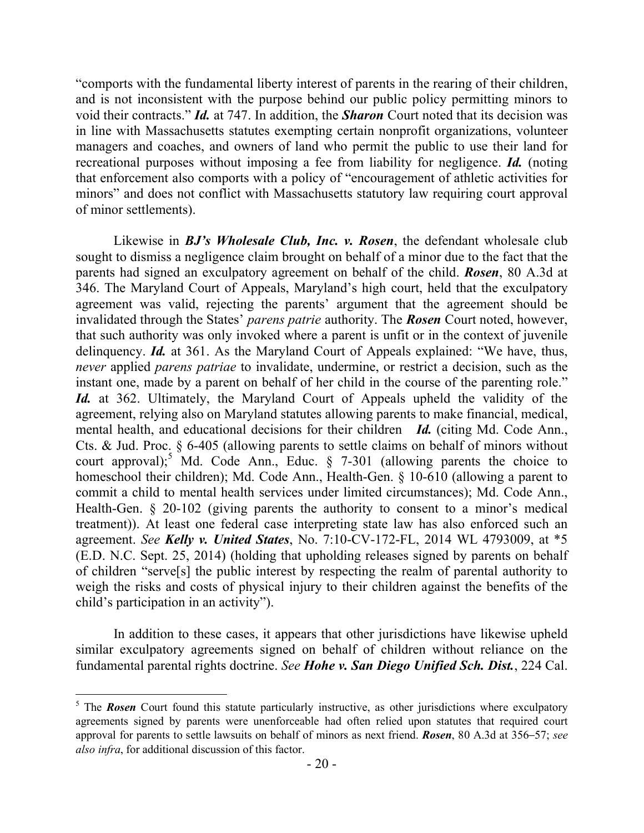"comports with the fundamental liberty interest of parents in the rearing of their children, and is not inconsistent with the purpose behind our public policy permitting minors to void their contracts." *Id.* at 747. In addition, the *Sharon* Court noted that its decision was in line with Massachusetts statutes exempting certain nonprofit organizations, volunteer managers and coaches, and owners of land who permit the public to use their land for recreational purposes without imposing a fee from liability for negligence. *Id.* (noting that enforcement also comports with a policy of "encouragement of athletic activities for minors" and does not conflict with Massachusetts statutory law requiring court approval of minor settlements).

Likewise in *BJ's Wholesale Club, Inc. v. Rosen*, the defendant wholesale club sought to dismiss a negligence claim brought on behalf of a minor due to the fact that the parents had signed an exculpatory agreement on behalf of the child. *Rosen*, 80 A.3d at 346. The Maryland Court of Appeals, Maryland's high court, held that the exculpatory agreement was valid, rejecting the parents' argument that the agreement should be invalidated through the States' *parens patrie* authority. The *Rosen* Court noted, however, that such authority was only invoked where a parent is unfit or in the context of juvenile delinquency. *Id.* at 361. As the Maryland Court of Appeals explained: "We have, thus, *never* applied *parens patriae* to invalidate, undermine, or restrict a decision, such as the instant one, made by a parent on behalf of her child in the course of the parenting role." *Id.* at 362. Ultimately, the Maryland Court of Appeals upheld the validity of the agreement, relying also on Maryland statutes allowing parents to make financial, medical, mental health, and educational decisions for their children *Id.* (citing Md. Code Ann., Cts. & Jud. Proc. § 6-405 (allowing parents to settle claims on behalf of minors without court approval);<sup>5</sup> Md. Code Ann., Educ.  $\S$  7-301 (allowing parents the choice to homeschool their children); Md. Code Ann., Health-Gen. § 10-610 (allowing a parent to commit a child to mental health services under limited circumstances); Md. Code Ann., Health-Gen. § 20-102 (giving parents the authority to consent to a minor's medical treatment)). At least one federal case interpreting state law has also enforced such an agreement. *See Kelly v. United States*, No. 7:10-CV-172-FL, 2014 WL 4793009, at \*5 (E.D. N.C. Sept. 25, 2014) (holding that upholding releases signed by parents on behalf of children "serve[s] the public interest by respecting the realm of parental authority to weigh the risks and costs of physical injury to their children against the benefits of the child's participation in an activity").

In addition to these cases, it appears that other jurisdictions have likewise upheld similar exculpatory agreements signed on behalf of children without reliance on the fundamental parental rights doctrine. *See Hohe v. San Diego Unified Sch. Dist.*, 224 Cal.

 $\overline{a}$ 

<sup>&</sup>lt;sup>5</sup> The **Rosen** Court found this statute particularly instructive, as other jurisdictions where exculpatory agreements signed by parents were unenforceable had often relied upon statutes that required court approval for parents to settle lawsuits on behalf of minors as next friend. *Rosen*, 80 A.3d at 356–57; *see also infra*, for additional discussion of this factor.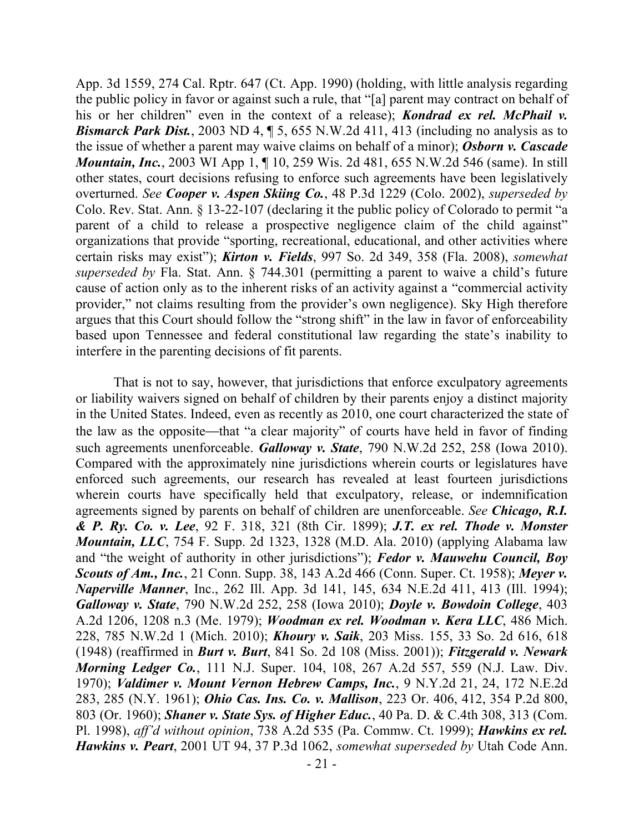App. 3d 1559, 274 Cal. Rptr. 647 (Ct. App. 1990) (holding, with little analysis regarding the public policy in favor or against such a rule, that "[a] parent may contract on behalf of his or her children" even in the context of a release); *Kondrad ex rel. McPhail v. Bismarck Park Dist.*, 2003 ND 4,  $\sqrt{$  5, 655 N.W.2d 411, 413 (including no analysis as to the issue of whether a parent may waive claims on behalf of a minor); *Osborn v. Cascade Mountain, Inc.*, 2003 WI App 1, 1, 10, 259 Wis. 2d 481, 655 N.W. 2d 546 (same). In still other states, court decisions refusing to enforce such agreements have been legislatively overturned. *See Cooper v. Aspen Skiing Co.*, 48 P.3d 1229 (Colo. 2002), *superseded by* Colo. Rev. Stat. Ann. § 13-22-107 (declaring it the public policy of Colorado to permit "a parent of a child to release a prospective negligence claim of the child against" organizations that provide "sporting, recreational, educational, and other activities where certain risks may exist"); *Kirton v. Fields*, 997 So. 2d 349, 358 (Fla. 2008), *somewhat superseded by* Fla. Stat. Ann. § 744.301 (permitting a parent to waive a child's future cause of action only as to the inherent risks of an activity against a "commercial activity provider," not claims resulting from the provider's own negligence). Sky High therefore argues that this Court should follow the "strong shift" in the law in favor of enforceability based upon Tennessee and federal constitutional law regarding the state's inability to interfere in the parenting decisions of fit parents.

That is not to say, however, that jurisdictions that enforce exculpatory agreements or liability waivers signed on behalf of children by their parents enjoy a distinct majority in the United States. Indeed, even as recently as 2010, one court characterized the state of the law as the opposite—that "a clear majority" of courts have held in favor of finding such agreements unenforceable. *Galloway v. State*, 790 N.W.2d 252, 258 (Iowa 2010). Compared with the approximately nine jurisdictions wherein courts or legislatures have enforced such agreements, our research has revealed at least fourteen jurisdictions wherein courts have specifically held that exculpatory, release, or indemnification agreements signed by parents on behalf of children are unenforceable. *See Chicago, R.I. & P. Ry. Co. v. Lee*, 92 F. 318, 321 (8th Cir. 1899); *J.T. ex rel. Thode v. Monster Mountain, LLC*, 754 F. Supp. 2d 1323, 1328 (M.D. Ala. 2010) (applying Alabama law and "the weight of authority in other jurisdictions"); *Fedor v. Mauwehu Council, Boy Scouts of Am., Inc.*, 21 Conn. Supp. 38, 143 A.2d 466 (Conn. Super. Ct. 1958); *Meyer v. Naperville Manner*, Inc., 262 Ill. App. 3d 141, 145, 634 N.E.2d 411, 413 (Ill. 1994); *Galloway v. State*, 790 N.W.2d 252, 258 (Iowa 2010); *Doyle v. Bowdoin College*, 403 A.2d 1206, 1208 n.3 (Me. 1979); *Woodman ex rel. Woodman v. Kera LLC*, 486 Mich. 228, 785 N.W.2d 1 (Mich. 2010); *Khoury v. Saik*, 203 Miss. 155, 33 So. 2d 616, 618 (1948) (reaffirmed in *Burt v. Burt*, 841 So. 2d 108 (Miss. 2001)); *Fitzgerald v. Newark Morning Ledger Co.*, 111 N.J. Super. 104, 108, 267 A.2d 557, 559 (N.J. Law. Div. 1970); *Valdimer v. Mount Vernon Hebrew Camps, Inc.*, 9 N.Y.2d 21, 24, 172 N.E.2d 283, 285 (N.Y. 1961); *Ohio Cas. Ins. Co. v. Mallison*, 223 Or. 406, 412, 354 P.2d 800, 803 (Or. 1960); *Shaner v. State Sys. of Higher Educ.*, 40 Pa. D. & C.4th 308, 313 (Com. Pl. 1998), *aff'd without opinion*, 738 A.2d 535 (Pa. Commw. Ct. 1999); *Hawkins ex rel. Hawkins v. Peart*, 2001 UT 94, 37 P.3d 1062, *somewhat superseded by* Utah Code Ann.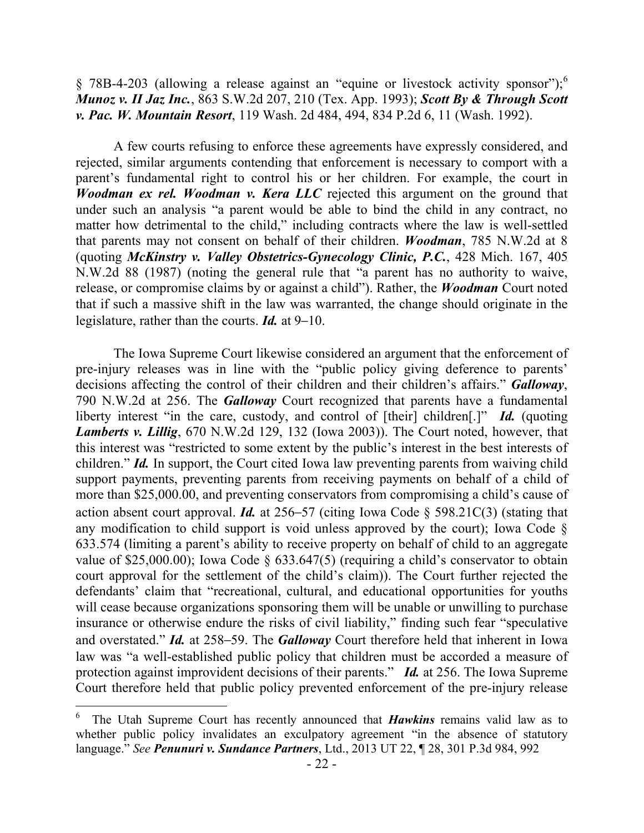§ 78B-4-203 (allowing a release against an "equine or livestock activity sponsor");<sup>6</sup> *Munoz v. II Jaz Inc.*, 863 S.W.2d 207, 210 (Tex. App. 1993); *Scott By & Through Scott v. Pac. W. Mountain Resort*, 119 Wash. 2d 484, 494, 834 P.2d 6, 11 (Wash. 1992).

A few courts refusing to enforce these agreements have expressly considered, and rejected, similar arguments contending that enforcement is necessary to comport with a parent's fundamental right to control his or her children. For example, the court in *Woodman ex rel. Woodman v. Kera LLC* rejected this argument on the ground that under such an analysis "a parent would be able to bind the child in any contract, no matter how detrimental to the child," including contracts where the law is well-settled that parents may not consent on behalf of their children. *Woodman*, 785 N.W.2d at 8 (quoting *McKinstry v. Valley Obstetrics-Gynecology Clinic, P.C.*, 428 Mich. 167, 405 N.W.2d 88 (1987) (noting the general rule that "a parent has no authority to waive, release, or compromise claims by or against a child"). Rather, the *Woodman* Court noted that if such a massive shift in the law was warranted, the change should originate in the legislature, rather than the courts. *Id.* at 9–10.

The Iowa Supreme Court likewise considered an argument that the enforcement of pre-injury releases was in line with the "public policy giving deference to parents' decisions affecting the control of their children and their children's affairs." *Galloway*, 790 N.W.2d at 256. The *Galloway* Court recognized that parents have a fundamental liberty interest "in the care, custody, and control of [their] children[.]" *Id.* (quoting *Lamberts v. Lillig*, 670 N.W.2d 129, 132 (Iowa 2003)). The Court noted, however, that this interest was "restricted to some extent by the public's interest in the best interests of children." *Id.* In support, the Court cited Iowa law preventing parents from waiving child support payments, preventing parents from receiving payments on behalf of a child of more than \$25,000.00, and preventing conservators from compromising a child's cause of action absent court approval. *Id.* at 256–57 (citing Iowa Code § 598.21C(3) (stating that any modification to child support is void unless approved by the court); Iowa Code § 633.574 (limiting a parent's ability to receive property on behalf of child to an aggregate value of \$25,000.00); Iowa Code § 633.647(5) (requiring a child's conservator to obtain court approval for the settlement of the child's claim)). The Court further rejected the defendants' claim that "recreational, cultural, and educational opportunities for youths will cease because organizations sponsoring them will be unable or unwilling to purchase insurance or otherwise endure the risks of civil liability," finding such fear "speculative and overstated." *Id.* at 258–59. The *Galloway* Court therefore held that inherent in Iowa law was "a well-established public policy that children must be accorded a measure of protection against improvident decisions of their parents." *Id.* at 256. The Iowa Supreme Court therefore held that public policy prevented enforcement of the pre-injury release

<sup>6</sup> The Utah Supreme Court has recently announced that *Hawkins* remains valid law as to whether public policy invalidates an exculpatory agreement "in the absence of statutory language." *See Penunuri v. Sundance Partners*, Ltd., 2013 UT 22, ¶ 28, 301 P.3d 984, 992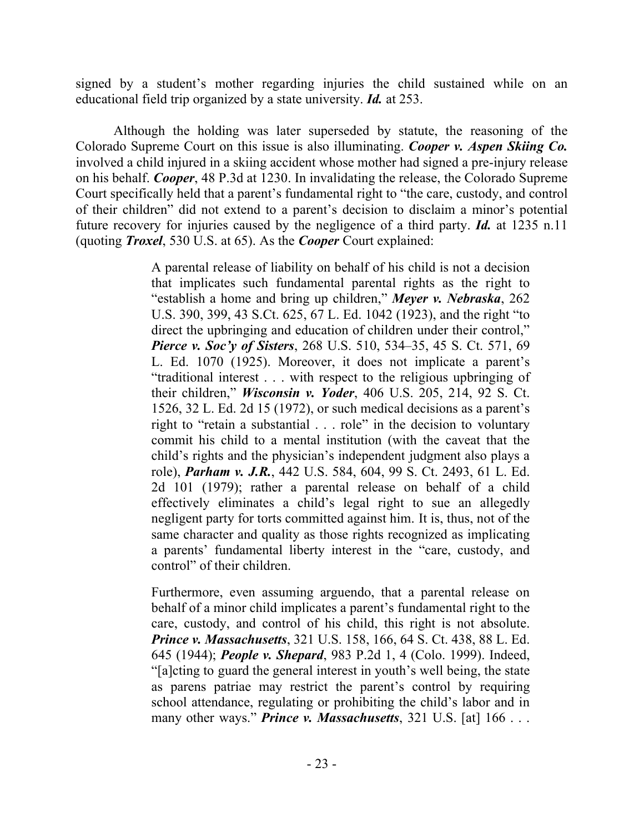signed by a student's mother regarding injuries the child sustained while on an educational field trip organized by a state university. *Id.* at 253.

Although the holding was later superseded by statute, the reasoning of the Colorado Supreme Court on this issue is also illuminating. *Cooper v. Aspen Skiing Co.* involved a child injured in a skiing accident whose mother had signed a pre-injury release on his behalf. *Cooper*, 48 P.3d at 1230. In invalidating the release, the Colorado Supreme Court specifically held that a parent's fundamental right to "the care, custody, and control of their children" did not extend to a parent's decision to disclaim a minor's potential future recovery for injuries caused by the negligence of a third party. *Id.* at 1235 n.11 (quoting *Troxel*, 530 U.S. at 65). As the *Cooper* Court explained:

> A parental release of liability on behalf of his child is not a decision that implicates such fundamental parental rights as the right to "establish a home and bring up children," *Meyer v. Nebraska*, 262 U.S. 390, 399, 43 S.Ct. 625, 67 L. Ed. 1042 (1923), and the right "to direct the upbringing and education of children under their control," *Pierce v. Soc'y of Sisters*, 268 U.S. 510, 534–35, 45 S. Ct. 571, 69 L. Ed. 1070 (1925). Moreover, it does not implicate a parent's "traditional interest . . . with respect to the religious upbringing of their children," *Wisconsin v. Yoder*, 406 U.S. 205, 214, 92 S. Ct. 1526, 32 L. Ed. 2d 15 (1972), or such medical decisions as a parent's right to "retain a substantial . . . role" in the decision to voluntary commit his child to a mental institution (with the caveat that the child's rights and the physician's independent judgment also plays a role), *Parham v. J.R.*, 442 U.S. 584, 604, 99 S. Ct. 2493, 61 L. Ed. 2d 101 (1979); rather a parental release on behalf of a child effectively eliminates a child's legal right to sue an allegedly negligent party for torts committed against him. It is, thus, not of the same character and quality as those rights recognized as implicating a parents' fundamental liberty interest in the "care, custody, and control" of their children.

> Furthermore, even assuming arguendo, that a parental release on behalf of a minor child implicates a parent's fundamental right to the care, custody, and control of his child, this right is not absolute. *Prince v. Massachusetts*, 321 U.S. 158, 166, 64 S. Ct. 438, 88 L. Ed. 645 (1944); *People v. Shepard*, 983 P.2d 1, 4 (Colo. 1999). Indeed, "[a]cting to guard the general interest in youth's well being, the state as parens patriae may restrict the parent's control by requiring school attendance, regulating or prohibiting the child's labor and in many other ways." **Prince v. Massachusetts**, 321 U.S. [at] 166 . . .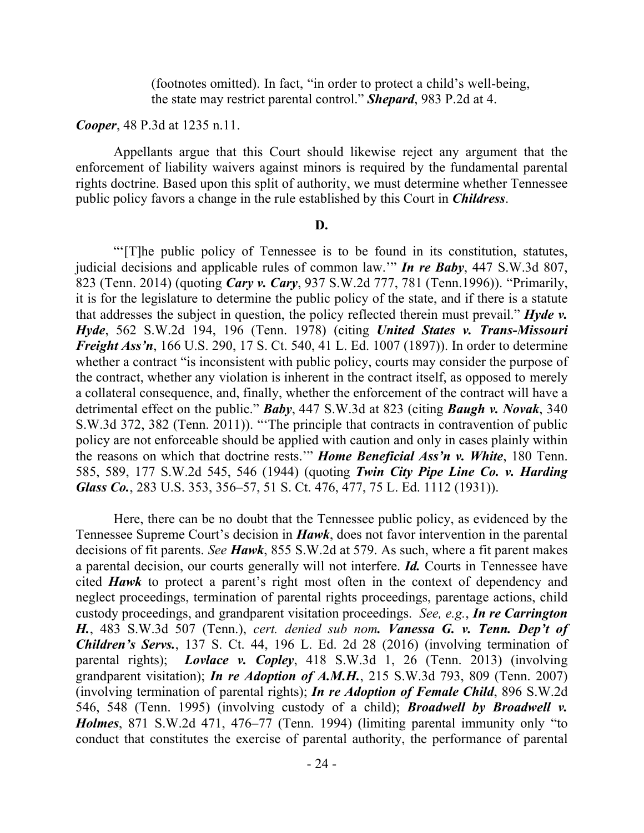(footnotes omitted). In fact, "in order to protect a child's well-being, the state may restrict parental control." *Shepard*, 983 P.2d at 4.

## *Cooper*, 48 P.3d at 1235 n.11.

Appellants argue that this Court should likewise reject any argument that the enforcement of liability waivers against minors is required by the fundamental parental rights doctrine. Based upon this split of authority, we must determine whether Tennessee public policy favors a change in the rule established by this Court in *Childress*.

### **D.**

"'[T]he public policy of Tennessee is to be found in its constitution, statutes, judicial decisions and applicable rules of common law.'" *In re Baby*, 447 S.W.3d 807, 823 (Tenn. 2014) (quoting *Cary v. Cary*, 937 S.W.2d 777, 781 (Tenn.1996)). "Primarily, it is for the legislature to determine the public policy of the state, and if there is a statute that addresses the subject in question, the policy reflected therein must prevail." *Hyde v. Hyde*, 562 S.W.2d 194, 196 (Tenn. 1978) (citing *United States v. Trans-Missouri Freight Ass'n*, 166 U.S. 290, 17 S. Ct. 540, 41 L. Ed. 1007 (1897)). In order to determine whether a contract "is inconsistent with public policy, courts may consider the purpose of the contract, whether any violation is inherent in the contract itself, as opposed to merely a collateral consequence, and, finally, whether the enforcement of the contract will have a detrimental effect on the public." *Baby*, 447 S.W.3d at 823 (citing *Baugh v. Novak*, 340 S.W.3d 372, 382 (Tenn. 2011)). "'The principle that contracts in contravention of public policy are not enforceable should be applied with caution and only in cases plainly within the reasons on which that doctrine rests.'" *Home Beneficial Ass'n v. White*, 180 Tenn. 585, 589, 177 S.W.2d 545, 546 (1944) (quoting *Twin City Pipe Line Co. v. Harding Glass Co.*, 283 U.S. 353, 356–57, 51 S. Ct. 476, 477, 75 L. Ed. 1112 (1931)).

Here, there can be no doubt that the Tennessee public policy, as evidenced by the Tennessee Supreme Court's decision in *Hawk*, does not favor intervention in the parental decisions of fit parents. *See Hawk*, 855 S.W.2d at 579. As such, where a fit parent makes a parental decision, our courts generally will not interfere. *Id.* Courts in Tennessee have cited *Hawk* to protect a parent's right most often in the context of dependency and neglect proceedings, termination of parental rights proceedings, parentage actions, child custody proceedings, and grandparent visitation proceedings. *See, e.g.*, *In re Carrington H.*, 483 S.W.3d 507 (Tenn.), *cert. denied sub nom. Vanessa G. v. Tenn. Dep't of Children's Servs.*, 137 S. Ct. 44, 196 L. Ed. 2d 28 (2016) (involving termination of parental rights); *Lovlace v. Copley*, 418 S.W.3d 1, 26 (Tenn. 2013) (involving grandparent visitation); *In re Adoption of A.M.H.*, 215 S.W.3d 793, 809 (Tenn. 2007) (involving termination of parental rights); *In re Adoption of Female Child*, 896 S.W.2d 546, 548 (Tenn. 1995) (involving custody of a child); *Broadwell by Broadwell v. Holmes*, 871 S.W.2d 471, 476–77 (Tenn. 1994) (limiting parental immunity only "to conduct that constitutes the exercise of parental authority, the performance of parental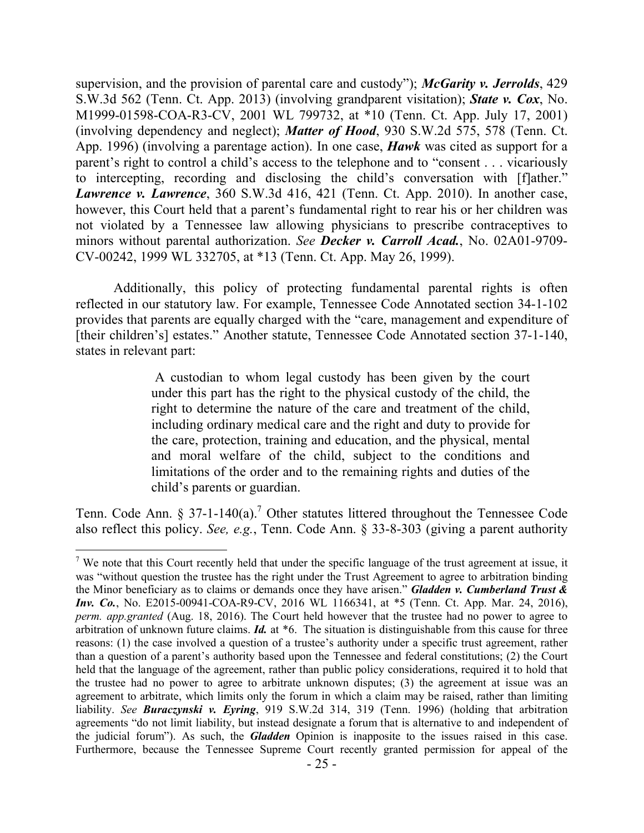supervision, and the provision of parental care and custody"); *McGarity v. Jerrolds*, 429 S.W.3d 562 (Tenn. Ct. App. 2013) (involving grandparent visitation); *State v. Cox*, No. M1999-01598-COA-R3-CV, 2001 WL 799732, at \*10 (Tenn. Ct. App. July 17, 2001) (involving dependency and neglect); *Matter of Hood*, 930 S.W.2d 575, 578 (Tenn. Ct. App. 1996) (involving a parentage action). In one case, *Hawk* was cited as support for a parent's right to control a child's access to the telephone and to "consent . . . vicariously to intercepting, recording and disclosing the child's conversation with [f]ather." *Lawrence v. Lawrence*, 360 S.W.3d 416, 421 (Tenn. Ct. App. 2010). In another case, however, this Court held that a parent's fundamental right to rear his or her children was not violated by a Tennessee law allowing physicians to prescribe contraceptives to minors without parental authorization. *See Decker v. Carroll Acad.*, No. 02A01-9709- CV-00242, 1999 WL 332705, at \*13 (Tenn. Ct. App. May 26, 1999).

Additionally, this policy of protecting fundamental parental rights is often reflected in our statutory law. For example, Tennessee Code Annotated section 34-1-102 provides that parents are equally charged with the "care, management and expenditure of [their children's] estates." Another statute, Tennessee Code Annotated section 37-1-140, states in relevant part:

> A custodian to whom legal custody has been given by the court under this part has the right to the physical custody of the child, the right to determine the nature of the care and treatment of the child, including ordinary medical care and the right and duty to provide for the care, protection, training and education, and the physical, mental and moral welfare of the child, subject to the conditions and limitations of the order and to the remaining rights and duties of the child's parents or guardian.

Tenn. Code Ann.  $\S 37$ -1-140(a).<sup>7</sup> Other statutes littered throughout the Tennessee Code also reflect this policy. *See, e.g.*, Tenn. Code Ann. § 33-8-303 (giving a parent authority

 $\overline{a}$ 

<sup>&</sup>lt;sup>7</sup> We note that this Court recently held that under the specific language of the trust agreement at issue, it was "without question the trustee has the right under the Trust Agreement to agree to arbitration binding the Minor beneficiary as to claims or demands once they have arisen." *Gladden v. Cumberland Trust & Inv. Co.*, No. E2015-00941-COA-R9-CV, 2016 WL 1166341, at \*5 (Tenn. Ct. App. Mar. 24, 2016), *perm. app.granted* (Aug. 18, 2016). The Court held however that the trustee had no power to agree to arbitration of unknown future claims. *Id.* at \*6. The situation is distinguishable from this cause for three reasons: (1) the case involved a question of a trustee's authority under a specific trust agreement, rather than a question of a parent's authority based upon the Tennessee and federal constitutions; (2) the Court held that the language of the agreement, rather than public policy considerations, required it to hold that the trustee had no power to agree to arbitrate unknown disputes; (3) the agreement at issue was an agreement to arbitrate, which limits only the forum in which a claim may be raised, rather than limiting liability. *See Buraczynski v. Eyring*, 919 S.W.2d 314, 319 (Tenn. 1996) (holding that arbitration agreements "do not limit liability, but instead designate a forum that is alternative to and independent of the judicial forum"). As such, the *Gladden* Opinion is inapposite to the issues raised in this case. Furthermore, because the Tennessee Supreme Court recently granted permission for appeal of the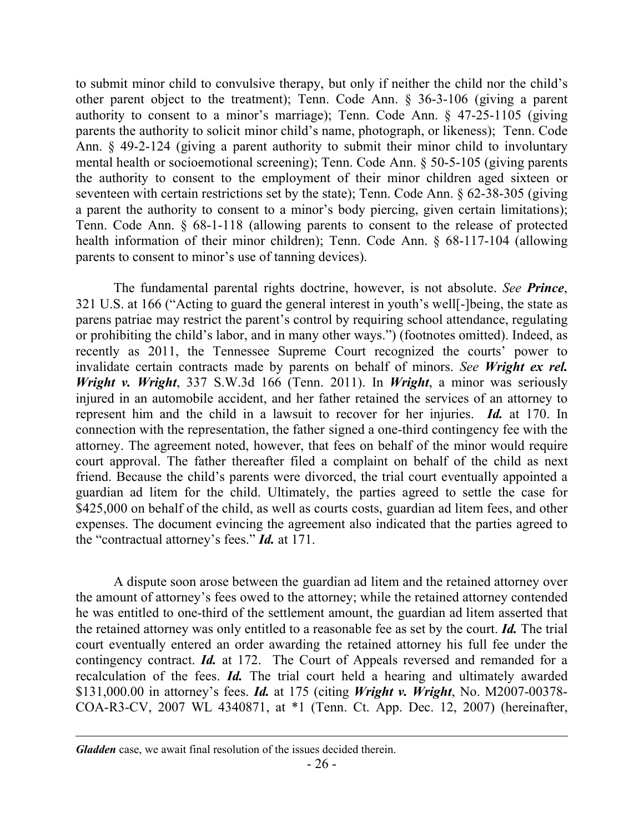to submit minor child to convulsive therapy, but only if neither the child nor the child's other parent object to the treatment); Tenn. Code Ann. § 36-3-106 (giving a parent authority to consent to a minor's marriage); Tenn. Code Ann. § 47-25-1105 (giving parents the authority to solicit minor child's name, photograph, or likeness); Tenn. Code Ann. § 49-2-124 (giving a parent authority to submit their minor child to involuntary mental health or socioemotional screening); Tenn. Code Ann. § 50-5-105 (giving parents the authority to consent to the employment of their minor children aged sixteen or seventeen with certain restrictions set by the state); Tenn. Code Ann. § 62-38-305 (giving a parent the authority to consent to a minor's body piercing, given certain limitations); Tenn. Code Ann. § 68-1-118 (allowing parents to consent to the release of protected health information of their minor children); Tenn. Code Ann. § 68-117-104 (allowing parents to consent to minor's use of tanning devices).

The fundamental parental rights doctrine, however, is not absolute. *See Prince*, 321 U.S. at 166 ("Acting to guard the general interest in youth's well[-]being, the state as parens patriae may restrict the parent's control by requiring school attendance, regulating or prohibiting the child's labor, and in many other ways.") (footnotes omitted). Indeed, as recently as 2011, the Tennessee Supreme Court recognized the courts' power to invalidate certain contracts made by parents on behalf of minors. *See Wright ex rel. Wright v. Wright*, 337 S.W.3d 166 (Tenn. 2011). In *Wright*, a minor was seriously injured in an automobile accident, and her father retained the services of an attorney to represent him and the child in a lawsuit to recover for her injuries. *Id.* at 170. In connection with the representation, the father signed a one-third contingency fee with the attorney. The agreement noted, however, that fees on behalf of the minor would require court approval. The father thereafter filed a complaint on behalf of the child as next friend. Because the child's parents were divorced, the trial court eventually appointed a guardian ad litem for the child. Ultimately, the parties agreed to settle the case for \$425,000 on behalf of the child, as well as courts costs, guardian ad litem fees, and other expenses. The document evincing the agreement also indicated that the parties agreed to the "contractual attorney's fees." *Id.* at 171.

A dispute soon arose between the guardian ad litem and the retained attorney over the amount of attorney's fees owed to the attorney; while the retained attorney contended he was entitled to one-third of the settlement amount, the guardian ad litem asserted that the retained attorney was only entitled to a reasonable fee as set by the court. *Id.* The trial court eventually entered an order awarding the retained attorney his full fee under the contingency contract. *Id.* at 172. The Court of Appeals reversed and remanded for a recalculation of the fees. *Id.* The trial court held a hearing and ultimately awarded \$131,000.00 in attorney's fees. *Id.* at 175 (citing *Wright v. Wright*, No. M2007-00378- COA-R3-CV, 2007 WL 4340871, at \*1 (Tenn. Ct. App. Dec. 12, 2007) (hereinafter,

 $\overline{a}$ 

*Gladden* case, we await final resolution of the issues decided therein.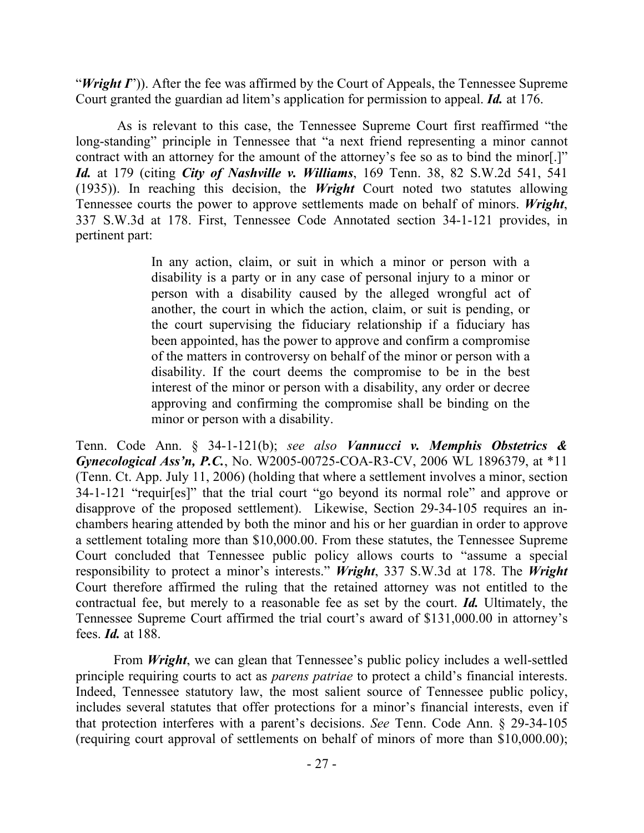"*Wright I*")). After the fee was affirmed by the Court of Appeals, the Tennessee Supreme Court granted the guardian ad litem's application for permission to appeal. *Id.* at 176.

As is relevant to this case, the Tennessee Supreme Court first reaffirmed "the long-standing" principle in Tennessee that "a next friend representing a minor cannot contract with an attorney for the amount of the attorney's fee so as to bind the minor[.]" *Id.* at 179 (citing *City of Nashville v. Williams*, 169 Tenn. 38, 82 S.W.2d 541, 541 (1935)). In reaching this decision, the *Wright* Court noted two statutes allowing Tennessee courts the power to approve settlements made on behalf of minors. *Wright*, 337 S.W.3d at 178. First, Tennessee Code Annotated section 34-1-121 provides, in pertinent part:

> In any action, claim, or suit in which a minor or person with a disability is a party or in any case of personal injury to a minor or person with a disability caused by the alleged wrongful act of another, the court in which the action, claim, or suit is pending, or the court supervising the fiduciary relationship if a fiduciary has been appointed, has the power to approve and confirm a compromise of the matters in controversy on behalf of the minor or person with a disability. If the court deems the compromise to be in the best interest of the minor or person with a disability, any order or decree approving and confirming the compromise shall be binding on the minor or person with a disability.

Tenn. Code Ann. § 34-1-121(b); *see also Vannucci v. Memphis Obstetrics & Gynecological Ass'n, P.C.*, No. W2005-00725-COA-R3-CV, 2006 WL 1896379, at \*11 (Tenn. Ct. App. July 11, 2006) (holding that where a settlement involves a minor, section 34-1-121 "requir[es]" that the trial court "go beyond its normal role" and approve or disapprove of the proposed settlement). Likewise, Section 29-34-105 requires an inchambers hearing attended by both the minor and his or her guardian in order to approve a settlement totaling more than \$10,000.00. From these statutes, the Tennessee Supreme Court concluded that Tennessee public policy allows courts to "assume a special responsibility to protect a minor's interests." *Wright*, 337 S.W.3d at 178. The *Wright* Court therefore affirmed the ruling that the retained attorney was not entitled to the contractual fee, but merely to a reasonable fee as set by the court. *Id.* Ultimately, the Tennessee Supreme Court affirmed the trial court's award of \$131,000.00 in attorney's fees. *Id.* at 188.

From *Wright*, we can glean that Tennessee's public policy includes a well-settled principle requiring courts to act as *parens patriae* to protect a child's financial interests. Indeed, Tennessee statutory law, the most salient source of Tennessee public policy, includes several statutes that offer protections for a minor's financial interests, even if that protection interferes with a parent's decisions. *See* Tenn. Code Ann. § 29-34-105 (requiring court approval of settlements on behalf of minors of more than \$10,000.00);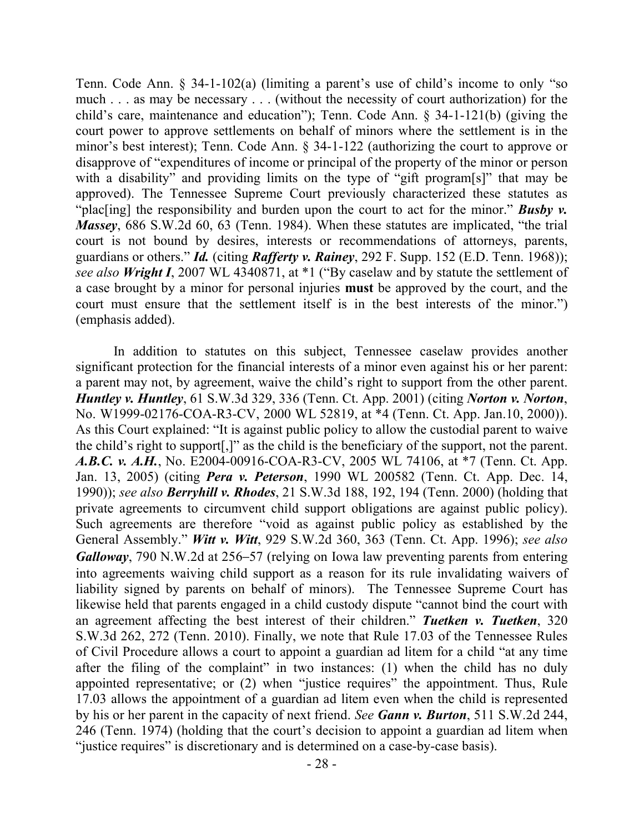Tenn. Code Ann. § 34-1-102(a) (limiting a parent's use of child's income to only "so much . . . as may be necessary . . . (without the necessity of court authorization) for the child's care, maintenance and education"); Tenn. Code Ann. § 34-1-121(b) (giving the court power to approve settlements on behalf of minors where the settlement is in the minor's best interest); Tenn. Code Ann. § 34-1-122 (authorizing the court to approve or disapprove of "expenditures of income or principal of the property of the minor or person with a disability" and providing limits on the type of "gift program[s]" that may be approved). The Tennessee Supreme Court previously characterized these statutes as "plac<sup>[ing]</sup> the responsibility and burden upon the court to act for the minor." **Busby v.** *Massey*, 686 S.W.2d 60, 63 (Tenn. 1984). When these statutes are implicated, "the trial court is not bound by desires, interests or recommendations of attorneys, parents, guardians or others." *Id.* (citing *Rafferty v. Rainey*, 292 F. Supp. 152 (E.D. Tenn. 1968)); *see also Wright I*, 2007 WL 4340871, at \*1 ("By caselaw and by statute the settlement of a case brought by a minor for personal injuries **must** be approved by the court, and the court must ensure that the settlement itself is in the best interests of the minor.") (emphasis added).

In addition to statutes on this subject, Tennessee caselaw provides another significant protection for the financial interests of a minor even against his or her parent: a parent may not, by agreement, waive the child's right to support from the other parent. *Huntley v. Huntley*, 61 S.W.3d 329, 336 (Tenn. Ct. App. 2001) (citing *Norton v. Norton*, No. W1999-02176-COA-R3-CV, 2000 WL 52819, at \*4 (Tenn. Ct. App. Jan.10, 2000)). As this Court explained: "It is against public policy to allow the custodial parent to waive the child's right to support[,]" as the child is the beneficiary of the support, not the parent. *A.B.C. v. A.H.*, No. E2004-00916-COA-R3-CV, 2005 WL 74106, at \*7 (Tenn. Ct. App. Jan. 13, 2005) (citing *Pera v. Peterson*, 1990 WL 200582 (Tenn. Ct. App. Dec. 14, 1990)); *see also Berryhill v. Rhodes*, 21 S.W.3d 188, 192, 194 (Tenn. 2000) (holding that private agreements to circumvent child support obligations are against public policy). Such agreements are therefore "void as against public policy as established by the General Assembly." *Witt v. Witt*, 929 S.W.2d 360, 363 (Tenn. Ct. App. 1996); *see also Galloway*, 790 N.W.2d at 256–57 (relying on Iowa law preventing parents from entering into agreements waiving child support as a reason for its rule invalidating waivers of liability signed by parents on behalf of minors). The Tennessee Supreme Court has likewise held that parents engaged in a child custody dispute "cannot bind the court with an agreement affecting the best interest of their children." *Tuetken v. Tuetken*, 320 S.W.3d 262, 272 (Tenn. 2010). Finally, we note that Rule 17.03 of the Tennessee Rules of Civil Procedure allows a court to appoint a guardian ad litem for a child "at any time after the filing of the complaint" in two instances: (1) when the child has no duly appointed representative; or (2) when "justice requires" the appointment. Thus, Rule 17.03 allows the appointment of a guardian ad litem even when the child is represented by his or her parent in the capacity of next friend. *See Gann v. Burton*, 511 S.W.2d 244, 246 (Tenn. 1974) (holding that the court's decision to appoint a guardian ad litem when "justice requires" is discretionary and is determined on a case-by-case basis).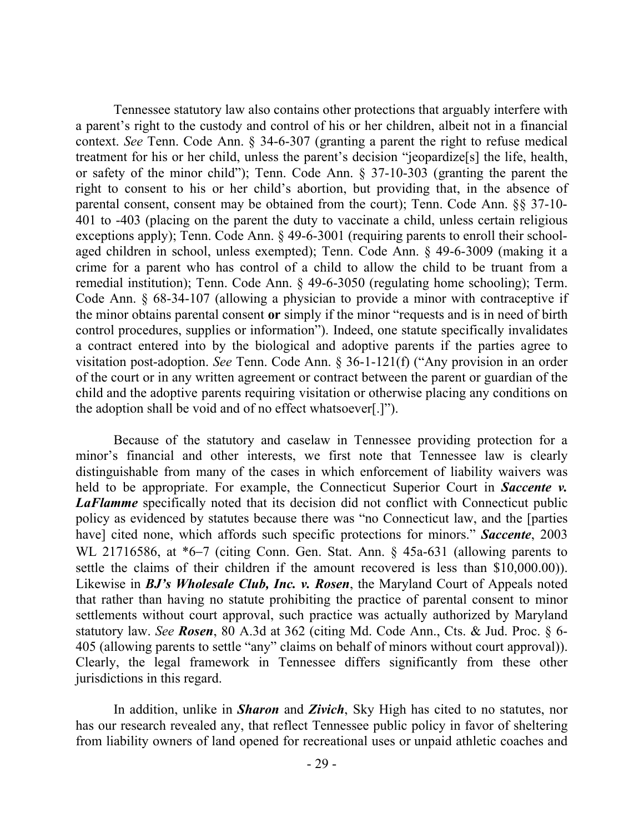Tennessee statutory law also contains other protections that arguably interfere with a parent's right to the custody and control of his or her children, albeit not in a financial context. *See* Tenn. Code Ann. § 34-6-307 (granting a parent the right to refuse medical treatment for his or her child, unless the parent's decision "jeopardize[s] the life, health, or safety of the minor child"); Tenn. Code Ann. § 37-10-303 (granting the parent the right to consent to his or her child's abortion, but providing that, in the absence of parental consent, consent may be obtained from the court); Tenn. Code Ann. §§ 37-10- 401 to -403 (placing on the parent the duty to vaccinate a child, unless certain religious exceptions apply); Tenn. Code Ann. § 49-6-3001 (requiring parents to enroll their schoolaged children in school, unless exempted); Tenn. Code Ann. § 49-6-3009 (making it a crime for a parent who has control of a child to allow the child to be truant from a remedial institution); Tenn. Code Ann. § 49-6-3050 (regulating home schooling); Term. Code Ann. § 68-34-107 (allowing a physician to provide a minor with contraceptive if the minor obtains parental consent **or** simply if the minor "requests and is in need of birth control procedures, supplies or information"). Indeed, one statute specifically invalidates a contract entered into by the biological and adoptive parents if the parties agree to visitation post-adoption. *See* Tenn. Code Ann. § 36-1-121(f) ("Any provision in an order of the court or in any written agreement or contract between the parent or guardian of the child and the adoptive parents requiring visitation or otherwise placing any conditions on the adoption shall be void and of no effect whatsoever[.]").

Because of the statutory and caselaw in Tennessee providing protection for a minor's financial and other interests, we first note that Tennessee law is clearly distinguishable from many of the cases in which enforcement of liability waivers was held to be appropriate. For example, the Connecticut Superior Court in *Saccente v.*  **LaFlamme** specifically noted that its decision did not conflict with Connecticut public policy as evidenced by statutes because there was "no Connecticut law, and the [parties have] cited none, which affords such specific protections for minors." *Saccente*, 2003 WL 21716586, at \*6–7 (citing Conn. Gen. Stat. Ann. § 45a-631 (allowing parents to settle the claims of their children if the amount recovered is less than \$10,000.00)). Likewise in *BJ's Wholesale Club, Inc. v. Rosen*, the Maryland Court of Appeals noted that rather than having no statute prohibiting the practice of parental consent to minor settlements without court approval, such practice was actually authorized by Maryland statutory law. *See Rosen*, 80 A.3d at 362 (citing Md. Code Ann., Cts. & Jud. Proc. § 6- 405 (allowing parents to settle "any" claims on behalf of minors without court approval)). Clearly, the legal framework in Tennessee differs significantly from these other jurisdictions in this regard.

In addition, unlike in *Sharon* and *Zivich*, Sky High has cited to no statutes, nor has our research revealed any, that reflect Tennessee public policy in favor of sheltering from liability owners of land opened for recreational uses or unpaid athletic coaches and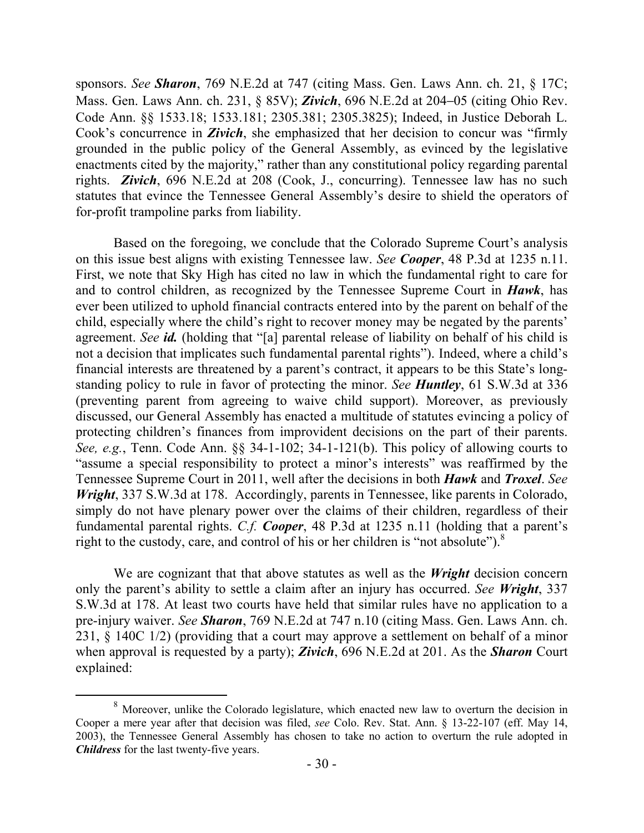sponsors. *See Sharon*, 769 N.E.2d at 747 (citing Mass. Gen. Laws Ann. ch. 21, § 17C; Mass. Gen. Laws Ann. ch. 231, § 85V); *Zivich*, 696 N.E.2d at 204–05 (citing Ohio Rev. Code Ann. §§ 1533.18; 1533.181; 2305.381; 2305.3825); Indeed, in Justice Deborah L. Cook's concurrence in *Zivich*, she emphasized that her decision to concur was "firmly grounded in the public policy of the General Assembly, as evinced by the legislative enactments cited by the majority," rather than any constitutional policy regarding parental rights. *Zivich*, 696 N.E.2d at 208 (Cook, J., concurring). Tennessee law has no such statutes that evince the Tennessee General Assembly's desire to shield the operators of for-profit trampoline parks from liability.

Based on the foregoing, we conclude that the Colorado Supreme Court's analysis on this issue best aligns with existing Tennessee law. *See Cooper*, 48 P.3d at 1235 n.11. First, we note that Sky High has cited no law in which the fundamental right to care for and to control children, as recognized by the Tennessee Supreme Court in *Hawk*, has ever been utilized to uphold financial contracts entered into by the parent on behalf of the child, especially where the child's right to recover money may be negated by the parents' agreement. *See id.* (holding that "[a] parental release of liability on behalf of his child is not a decision that implicates such fundamental parental rights"). Indeed, where a child's financial interests are threatened by a parent's contract, it appears to be this State's longstanding policy to rule in favor of protecting the minor. *See Huntley*, 61 S.W.3d at 336 (preventing parent from agreeing to waive child support). Moreover, as previously discussed, our General Assembly has enacted a multitude of statutes evincing a policy of protecting children's finances from improvident decisions on the part of their parents. *See, e.g.*, Tenn. Code Ann. §§ 34-1-102; 34-1-121(b). This policy of allowing courts to "assume a special responsibility to protect a minor's interests" was reaffirmed by the Tennessee Supreme Court in 2011, well after the decisions in both *Hawk* and *Troxel*. *See Wright*, 337 S.W.3d at 178. Accordingly, parents in Tennessee, like parents in Colorado, simply do not have plenary power over the claims of their children, regardless of their fundamental parental rights. *C.f. Cooper*, 48 P.3d at 1235 n.11 (holding that a parent's right to the custody, care, and control of his or her children is "not absolute").<sup>8</sup>

We are cognizant that that above statutes as well as the *Wright* decision concern only the parent's ability to settle a claim after an injury has occurred. *See Wright*, 337 S.W.3d at 178. At least two courts have held that similar rules have no application to a pre-injury waiver. *See Sharon*, 769 N.E.2d at 747 n.10 (citing Mass. Gen. Laws Ann. ch. 231, § 140C 1/2) (providing that a court may approve a settlement on behalf of a minor when approval is requested by a party); *Zivich*, 696 N.E.2d at 201. As the *Sharon* Court explained:

 $\overline{a}$ 

<sup>&</sup>lt;sup>8</sup> Moreover, unlike the Colorado legislature, which enacted new law to overturn the decision in Cooper a mere year after that decision was filed, *see* Colo. Rev. Stat. Ann. § 13-22-107 (eff. May 14, 2003), the Tennessee General Assembly has chosen to take no action to overturn the rule adopted in *Childress* for the last twenty-five years.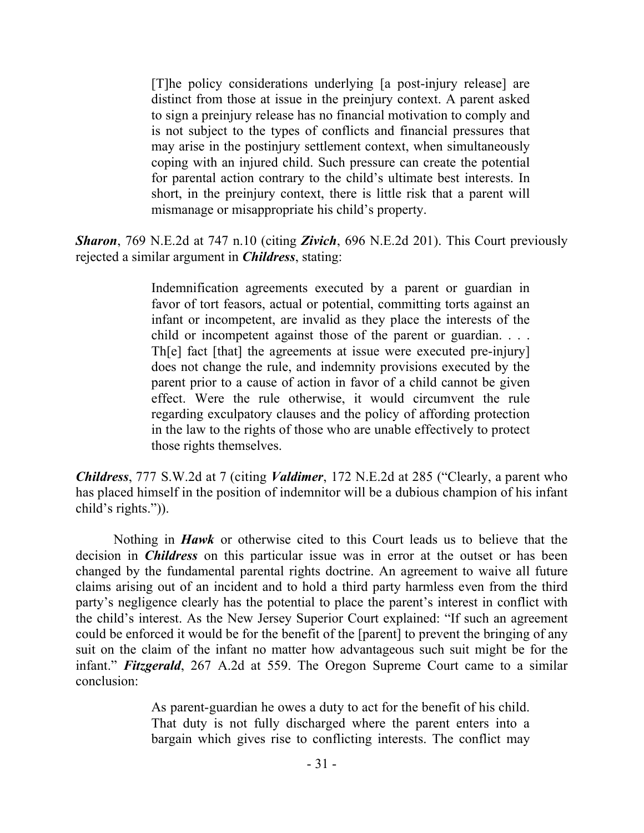[T]he policy considerations underlying [a post-injury release] are distinct from those at issue in the preinjury context. A parent asked to sign a preinjury release has no financial motivation to comply and is not subject to the types of conflicts and financial pressures that may arise in the postinjury settlement context, when simultaneously coping with an injured child. Such pressure can create the potential for parental action contrary to the child's ultimate best interests. In short, in the preinjury context, there is little risk that a parent will mismanage or misappropriate his child's property.

*Sharon*, 769 N.E.2d at 747 n.10 (citing *Zivich*, 696 N.E.2d 201). This Court previously rejected a similar argument in *Childress*, stating:

> Indemnification agreements executed by a parent or guardian in favor of tort feasors, actual or potential, committing torts against an infant or incompetent, are invalid as they place the interests of the child or incompetent against those of the parent or guardian. . . . Th[e] fact [that] the agreements at issue were executed pre-injury] does not change the rule, and indemnity provisions executed by the parent prior to a cause of action in favor of a child cannot be given effect. Were the rule otherwise, it would circumvent the rule regarding exculpatory clauses and the policy of affording protection in the law to the rights of those who are unable effectively to protect those rights themselves.

*Childress*, 777 S.W.2d at 7 (citing *Valdimer*, 172 N.E.2d at 285 ("Clearly, a parent who has placed himself in the position of indemnitor will be a dubious champion of his infant child's rights.")).

Nothing in *Hawk* or otherwise cited to this Court leads us to believe that the decision in *Childress* on this particular issue was in error at the outset or has been changed by the fundamental parental rights doctrine. An agreement to waive all future claims arising out of an incident and to hold a third party harmless even from the third party's negligence clearly has the potential to place the parent's interest in conflict with the child's interest. As the New Jersey Superior Court explained: "If such an agreement could be enforced it would be for the benefit of the [parent] to prevent the bringing of any suit on the claim of the infant no matter how advantageous such suit might be for the infant." *Fitzgerald*, 267 A.2d at 559. The Oregon Supreme Court came to a similar conclusion:

> As parent-guardian he owes a duty to act for the benefit of his child. That duty is not fully discharged where the parent enters into a bargain which gives rise to conflicting interests. The conflict may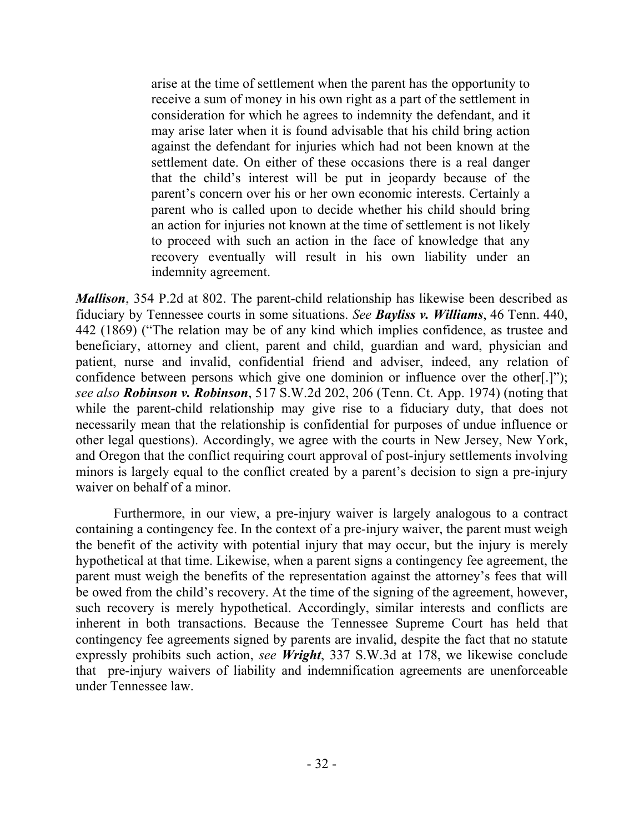arise at the time of settlement when the parent has the opportunity to receive a sum of money in his own right as a part of the settlement in consideration for which he agrees to indemnity the defendant, and it may arise later when it is found advisable that his child bring action against the defendant for injuries which had not been known at the settlement date. On either of these occasions there is a real danger that the child's interest will be put in jeopardy because of the parent's concern over his or her own economic interests. Certainly a parent who is called upon to decide whether his child should bring an action for injuries not known at the time of settlement is not likely to proceed with such an action in the face of knowledge that any recovery eventually will result in his own liability under an indemnity agreement.

*Mallison*, 354 P.2d at 802. The parent-child relationship has likewise been described as fiduciary by Tennessee courts in some situations. *See Bayliss v. Williams*, 46 Tenn. 440, 442 (1869) ("The relation may be of any kind which implies confidence, as trustee and beneficiary, attorney and client, parent and child, guardian and ward, physician and patient, nurse and invalid, confidential friend and adviser, indeed, any relation of confidence between persons which give one dominion or influence over the other[.]"); *see also Robinson v. Robinson*, 517 S.W.2d 202, 206 (Tenn. Ct. App. 1974) (noting that while the parent-child relationship may give rise to a fiduciary duty, that does not necessarily mean that the relationship is confidential for purposes of undue influence or other legal questions). Accordingly, we agree with the courts in New Jersey, New York, and Oregon that the conflict requiring court approval of post-injury settlements involving minors is largely equal to the conflict created by a parent's decision to sign a pre-injury waiver on behalf of a minor.

Furthermore, in our view, a pre-injury waiver is largely analogous to a contract containing a contingency fee. In the context of a pre-injury waiver, the parent must weigh the benefit of the activity with potential injury that may occur, but the injury is merely hypothetical at that time. Likewise, when a parent signs a contingency fee agreement, the parent must weigh the benefits of the representation against the attorney's fees that will be owed from the child's recovery. At the time of the signing of the agreement, however, such recovery is merely hypothetical. Accordingly, similar interests and conflicts are inherent in both transactions. Because the Tennessee Supreme Court has held that contingency fee agreements signed by parents are invalid, despite the fact that no statute expressly prohibits such action, *see Wright*, 337 S.W.3d at 178, we likewise conclude that pre-injury waivers of liability and indemnification agreements are unenforceable under Tennessee law.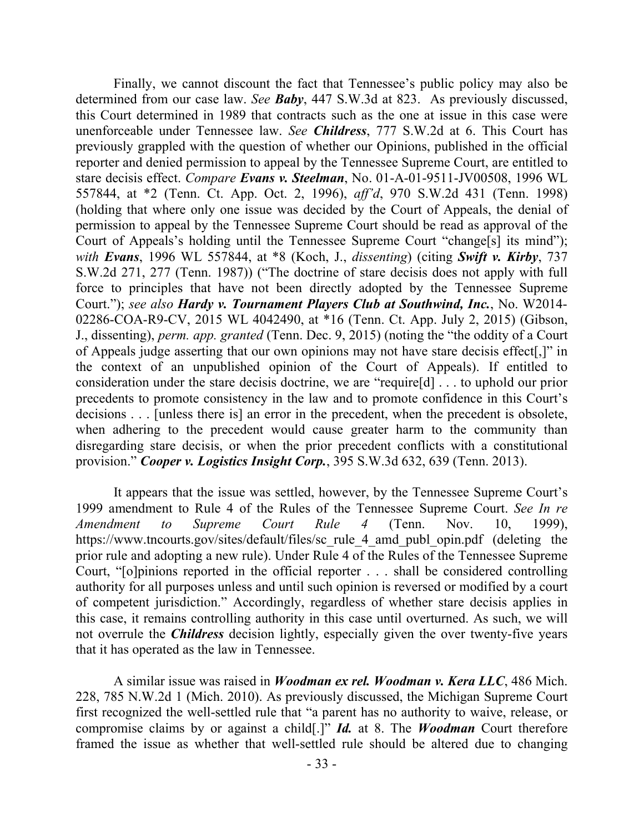Finally, we cannot discount the fact that Tennessee's public policy may also be determined from our case law. *See Baby*, 447 S.W.3d at 823. As previously discussed, this Court determined in 1989 that contracts such as the one at issue in this case were unenforceable under Tennessee law. *See Childress*, 777 S.W.2d at 6. This Court has previously grappled with the question of whether our Opinions, published in the official reporter and denied permission to appeal by the Tennessee Supreme Court, are entitled to stare decisis effect. *Compare Evans v. Steelman*, No. 01-A-01-9511-JV00508, 1996 WL 557844, at \*2 (Tenn. Ct. App. Oct. 2, 1996), *aff'd*, 970 S.W.2d 431 (Tenn. 1998) (holding that where only one issue was decided by the Court of Appeals, the denial of permission to appeal by the Tennessee Supreme Court should be read as approval of the Court of Appeals's holding until the Tennessee Supreme Court "change[s] its mind"); *with Evans*, 1996 WL 557844, at \*8 (Koch, J., *dissenting*) (citing *Swift v. Kirby*, 737 S.W.2d 271, 277 (Tenn. 1987)) ("The doctrine of stare decisis does not apply with full force to principles that have not been directly adopted by the Tennessee Supreme Court."); *see also Hardy v. Tournament Players Club at Southwind, Inc.*, No. W2014- 02286-COA-R9-CV, 2015 WL 4042490, at \*16 (Tenn. Ct. App. July 2, 2015) (Gibson, J., dissenting), *perm. app. granted* (Tenn. Dec. 9, 2015) (noting the "the oddity of a Court of Appeals judge asserting that our own opinions may not have stare decisis effect[,]" in the context of an unpublished opinion of the Court of Appeals). If entitled to consideration under the stare decisis doctrine, we are "require[d] . . . to uphold our prior precedents to promote consistency in the law and to promote confidence in this Court's decisions . . . [unless there is] an error in the precedent, when the precedent is obsolete, when adhering to the precedent would cause greater harm to the community than disregarding stare decisis, or when the prior precedent conflicts with a constitutional provision." *Cooper v. Logistics Insight Corp.*, 395 S.W.3d 632, 639 (Tenn. 2013).

It appears that the issue was settled, however, by the Tennessee Supreme Court's 1999 amendment to Rule 4 of the Rules of the Tennessee Supreme Court. *See In re Amendment to Supreme Court Rule 4* (Tenn. Nov. 10, 1999), https://www.tncourts.gov/sites/default/files/sc\_rule\_4\_amd\_publ\_opin.pdf (deleting the prior rule and adopting a new rule). Under Rule 4 of the Rules of the Tennessee Supreme Court, "[o]pinions reported in the official reporter . . . shall be considered controlling authority for all purposes unless and until such opinion is reversed or modified by a court of competent jurisdiction." Accordingly, regardless of whether stare decisis applies in this case, it remains controlling authority in this case until overturned. As such, we will not overrule the *Childress* decision lightly, especially given the over twenty-five years that it has operated as the law in Tennessee.

A similar issue was raised in *Woodman ex rel. Woodman v. Kera LLC*, 486 Mich. 228, 785 N.W.2d 1 (Mich. 2010). As previously discussed, the Michigan Supreme Court first recognized the well-settled rule that "a parent has no authority to waive, release, or compromise claims by or against a child[.]" *Id.* at 8. The *Woodman* Court therefore framed the issue as whether that well-settled rule should be altered due to changing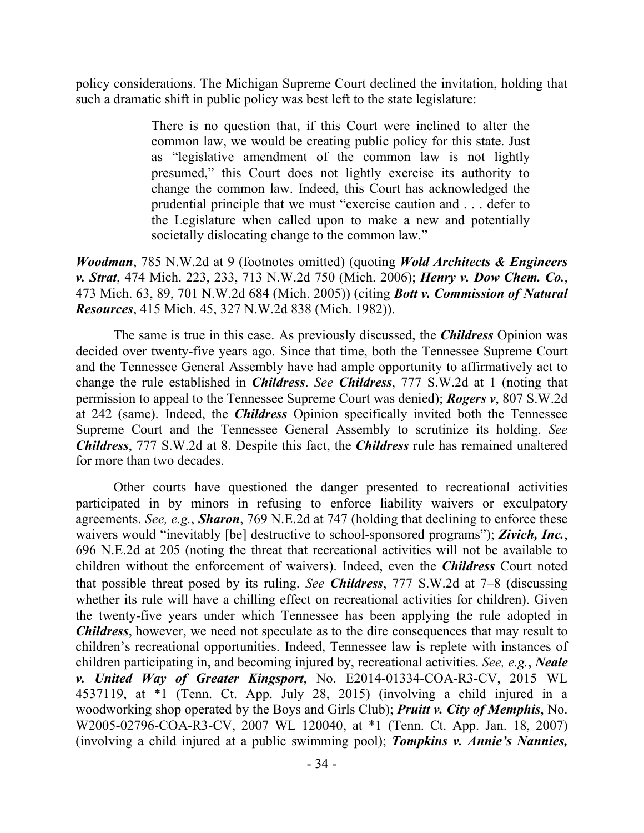policy considerations. The Michigan Supreme Court declined the invitation, holding that such a dramatic shift in public policy was best left to the state legislature:

> There is no question that, if this Court were inclined to alter the common law, we would be creating public policy for this state. Just as "legislative amendment of the common law is not lightly presumed," this Court does not lightly exercise its authority to change the common law. Indeed, this Court has acknowledged the prudential principle that we must "exercise caution and . . . defer to the Legislature when called upon to make a new and potentially societally dislocating change to the common law."

*Woodman*, 785 N.W.2d at 9 (footnotes omitted) (quoting *Wold Architects & Engineers v. Strat*, 474 Mich. 223, 233, 713 N.W.2d 750 (Mich. 2006); *Henry v. Dow Chem. Co.*, 473 Mich. 63, 89, 701 N.W.2d 684 (Mich. 2005)) (citing *Bott v. Commission of Natural Resources*, 415 Mich. 45, 327 N.W.2d 838 (Mich. 1982)).

The same is true in this case. As previously discussed, the *Childress* Opinion was decided over twenty-five years ago. Since that time, both the Tennessee Supreme Court and the Tennessee General Assembly have had ample opportunity to affirmatively act to change the rule established in *Childress*. *See Childress*, 777 S.W.2d at 1 (noting that permission to appeal to the Tennessee Supreme Court was denied); *Rogers v*, 807 S.W.2d at 242 (same). Indeed, the *Childress* Opinion specifically invited both the Tennessee Supreme Court and the Tennessee General Assembly to scrutinize its holding. *See Childress*, 777 S.W.2d at 8. Despite this fact, the *Childress* rule has remained unaltered for more than two decades.

Other courts have questioned the danger presented to recreational activities participated in by minors in refusing to enforce liability waivers or exculpatory agreements. *See, e.g.*, *Sharon*, 769 N.E.2d at 747 (holding that declining to enforce these waivers would "inevitably [be] destructive to school-sponsored programs"); *Zivich, Inc.*, 696 N.E.2d at 205 (noting the threat that recreational activities will not be available to children without the enforcement of waivers). Indeed, even the *Childress* Court noted that possible threat posed by its ruling. *See Childress*, 777 S.W.2d at 7–8 (discussing whether its rule will have a chilling effect on recreational activities for children). Given the twenty-five years under which Tennessee has been applying the rule adopted in *Childress*, however, we need not speculate as to the dire consequences that may result to children's recreational opportunities. Indeed, Tennessee law is replete with instances of children participating in, and becoming injured by, recreational activities. *See, e.g.*, *Neale v. United Way of Greater Kingsport*, No. E2014-01334-COA-R3-CV, 2015 WL 4537119, at \*1 (Tenn. Ct. App. July 28, 2015) (involving a child injured in a woodworking shop operated by the Boys and Girls Club); *Pruitt v. City of Memphis*, No. W2005-02796-COA-R3-CV, 2007 WL 120040, at \*1 (Tenn. Ct. App. Jan. 18, 2007) (involving a child injured at a public swimming pool); *Tompkins v. Annie's Nannies,*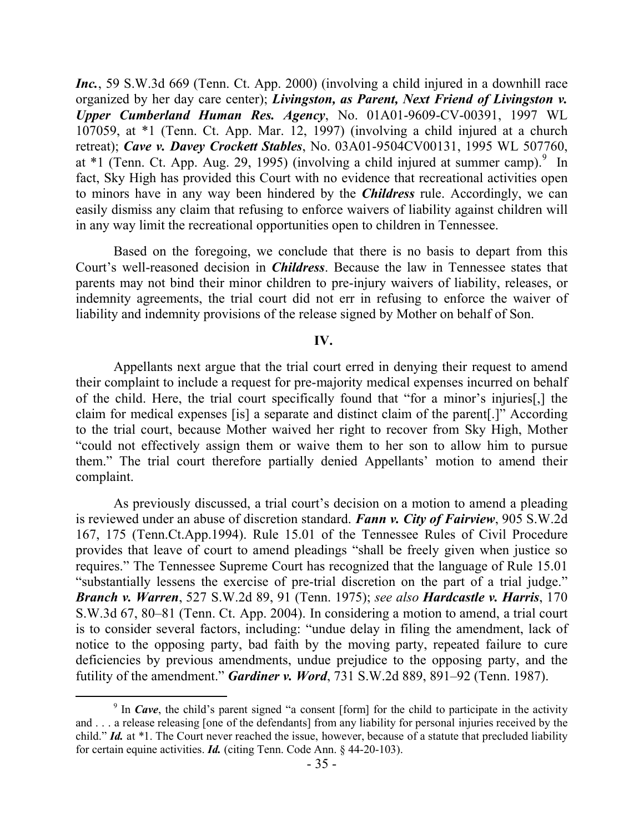*Inc.*, 59 S.W.3d 669 (Tenn. Ct. App. 2000) (involving a child injured in a downhill race organized by her day care center); *Livingston, as Parent, Next Friend of Livingston v. Upper Cumberland Human Res. Agency*, No. 01A01-9609-CV-00391, 1997 WL 107059, at \*1 (Tenn. Ct. App. Mar. 12, 1997) (involving a child injured at a church retreat); *Cave v. Davey Crockett Stables*, No. 03A01-9504CV00131, 1995 WL 507760, at  $*1$  (Tenn. Ct. App. Aug. 29, 1995) (involving a child injured at summer camp).<sup>9</sup> In fact, Sky High has provided this Court with no evidence that recreational activities open to minors have in any way been hindered by the *Childress* rule. Accordingly, we can easily dismiss any claim that refusing to enforce waivers of liability against children will in any way limit the recreational opportunities open to children in Tennessee.

Based on the foregoing, we conclude that there is no basis to depart from this Court's well-reasoned decision in *Childress*. Because the law in Tennessee states that parents may not bind their minor children to pre-injury waivers of liability, releases, or indemnity agreements, the trial court did not err in refusing to enforce the waiver of liability and indemnity provisions of the release signed by Mother on behalf of Son.

### **IV.**

Appellants next argue that the trial court erred in denying their request to amend their complaint to include a request for pre-majority medical expenses incurred on behalf of the child. Here, the trial court specifically found that "for a minor's injuries[,] the claim for medical expenses [is] a separate and distinct claim of the parent[.]" According to the trial court, because Mother waived her right to recover from Sky High, Mother "could not effectively assign them or waive them to her son to allow him to pursue them." The trial court therefore partially denied Appellants' motion to amend their complaint.

As previously discussed, a trial court's decision on a motion to amend a pleading is reviewed under an abuse of discretion standard. *Fann v. City of Fairview*, 905 S.W.2d 167, 175 (Tenn.Ct.App.1994). Rule 15.01 of the Tennessee Rules of Civil Procedure provides that leave of court to amend pleadings "shall be freely given when justice so requires." The Tennessee Supreme Court has recognized that the language of Rule 15.01 "substantially lessens the exercise of pre-trial discretion on the part of a trial judge." *Branch v. Warren*, 527 S.W.2d 89, 91 (Tenn. 1975); *see also Hardcastle v. Harris*, 170 S.W.3d 67, 80–81 (Tenn. Ct. App. 2004). In considering a motion to amend, a trial court is to consider several factors, including: "undue delay in filing the amendment, lack of notice to the opposing party, bad faith by the moving party, repeated failure to cure deficiencies by previous amendments, undue prejudice to the opposing party, and the futility of the amendment." *Gardiner v. Word*, 731 S.W.2d 889, 891–92 (Tenn. 1987).

<sup>&</sup>lt;sup>9</sup> In *Cave*, the child's parent signed "a consent [form] for the child to participate in the activity and . . . a release releasing [one of the defendants] from any liability for personal injuries received by the child." *Id.* at \*1. The Court never reached the issue, however, because of a statute that precluded liability for certain equine activities. *Id.* (citing Tenn. Code Ann. § 44-20-103).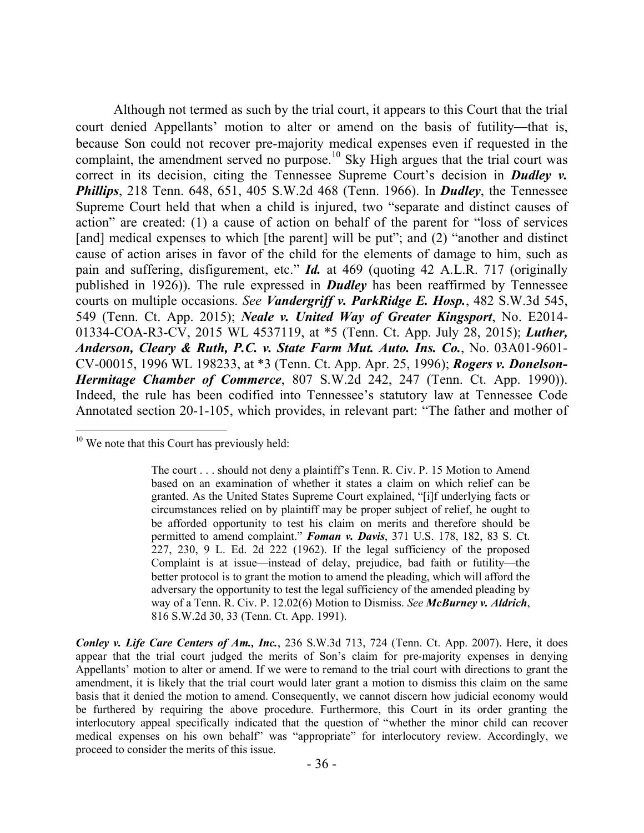Although not termed as such by the trial court, it appears to this Court that the trial court denied Appellants' motion to alter or amend on the basis of futility—that is, because Son could not recover pre-majority medical expenses even if requested in the complaint, the amendment served no purpose.<sup>10</sup> Sky High argues that the trial court was correct in its decision, citing the Tennessee Supreme Court's decision in *Dudley v. Phillips*, 218 Tenn. 648, 651, 405 S.W.2d 468 (Tenn. 1966). In *Dudley*, the Tennessee Supreme Court held that when a child is injured, two "separate and distinct causes of action" are created: (1) a cause of action on behalf of the parent for "loss of services [and] medical expenses to which [the parent] will be put"; and (2) "another and distinct cause of action arises in favor of the child for the elements of damage to him, such as pain and suffering, disfigurement, etc." *Id.* at 469 (quoting 42 A.L.R. 717 (originally published in 1926)). The rule expressed in *Dudley* has been reaffirmed by Tennessee courts on multiple occasions. *See Vandergriff v. ParkRidge E. Hosp.*, 482 S.W.3d 545, 549 (Tenn. Ct. App. 2015); *Neale v. United Way of Greater Kingsport*, No. E2014- 01334-COA-R3-CV, 2015 WL 4537119, at \*5 (Tenn. Ct. App. July 28, 2015); *Luther, Anderson, Cleary & Ruth, P.C. v. State Farm Mut. Auto. Ins. Co.*, No. 03A01-9601- CV-00015, 1996 WL 198233, at \*3 (Tenn. Ct. App. Apr. 25, 1996); *Rogers v. Donelson-Hermitage Chamber of Commerce*, 807 S.W.2d 242, 247 (Tenn. Ct. App. 1990)). Indeed, the rule has been codified into Tennessee's statutory law at Tennessee Code Annotated section 20-1-105, which provides, in relevant part: "The father and mother of

 $\overline{a}$ 

*Conley v. Life Care Centers of Am., Inc.*, 236 S.W.3d 713, 724 (Tenn. Ct. App. 2007). Here, it does appear that the trial court judged the merits of Son's claim for pre-majority expenses in denying Appellants' motion to alter or amend. If we were to remand to the trial court with directions to grant the amendment, it is likely that the trial court would later grant a motion to dismiss this claim on the same basis that it denied the motion to amend. Consequently, we cannot discern how judicial economy would be furthered by requiring the above procedure. Furthermore, this Court in its order granting the interlocutory appeal specifically indicated that the question of "whether the minor child can recover medical expenses on his own behalf" was "appropriate" for interlocutory review. Accordingly, we proceed to consider the merits of this issue.

 $10$  We note that this Court has previously held:

The court . . . should not deny a plaintiff's Tenn. R. Civ. P. 15 Motion to Amend based on an examination of whether it states a claim on which relief can be granted. As the United States Supreme Court explained, "[i]f underlying facts or circumstances relied on by plaintiff may be proper subject of relief, he ought to be afforded opportunity to test his claim on merits and therefore should be permitted to amend complaint." *Foman v. Davis*, 371 U.S. 178, 182, 83 S. Ct. 227, 230, 9 L. Ed. 2d 222 (1962). If the legal sufficiency of the proposed Complaint is at issue—instead of delay, prejudice, bad faith or futility—the better protocol is to grant the motion to amend the pleading, which will afford the adversary the opportunity to test the legal sufficiency of the amended pleading by way of a Tenn. R. Civ. P. 12.02(6) Motion to Dismiss. *See McBurney v. Aldrich*, 816 S.W.2d 30, 33 (Tenn. Ct. App. 1991).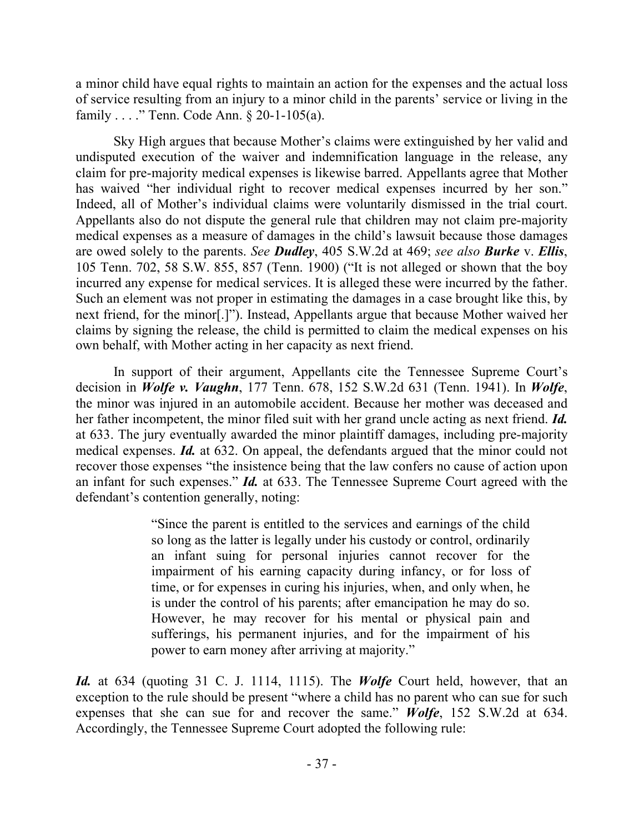a minor child have equal rights to maintain an action for the expenses and the actual loss of service resulting from an injury to a minor child in the parents' service or living in the family . . . ." Tenn. Code Ann. § 20-1-105(a).

Sky High argues that because Mother's claims were extinguished by her valid and undisputed execution of the waiver and indemnification language in the release, any claim for pre-majority medical expenses is likewise barred. Appellants agree that Mother has waived "her individual right to recover medical expenses incurred by her son." Indeed, all of Mother's individual claims were voluntarily dismissed in the trial court. Appellants also do not dispute the general rule that children may not claim pre-majority medical expenses as a measure of damages in the child's lawsuit because those damages are owed solely to the parents. *See Dudley*, 405 S.W.2d at 469; *see also Burke* v. *Ellis*, 105 Tenn. 702, 58 S.W. 855, 857 (Tenn. 1900) ("It is not alleged or shown that the boy incurred any expense for medical services. It is alleged these were incurred by the father. Such an element was not proper in estimating the damages in a case brought like this, by next friend, for the minor[.]"). Instead, Appellants argue that because Mother waived her claims by signing the release, the child is permitted to claim the medical expenses on his own behalf, with Mother acting in her capacity as next friend.

In support of their argument, Appellants cite the Tennessee Supreme Court's decision in *Wolfe v. Vaughn*, 177 Tenn. 678, 152 S.W.2d 631 (Tenn. 1941). In *Wolfe*, the minor was injured in an automobile accident. Because her mother was deceased and her father incompetent, the minor filed suit with her grand uncle acting as next friend. *Id.* at 633. The jury eventually awarded the minor plaintiff damages, including pre-majority medical expenses. *Id.* at 632. On appeal, the defendants argued that the minor could not recover those expenses "the insistence being that the law confers no cause of action upon an infant for such expenses." *Id.* at 633. The Tennessee Supreme Court agreed with the defendant's contention generally, noting:

> "Since the parent is entitled to the services and earnings of the child so long as the latter is legally under his custody or control, ordinarily an infant suing for personal injuries cannot recover for the impairment of his earning capacity during infancy, or for loss of time, or for expenses in curing his injuries, when, and only when, he is under the control of his parents; after emancipation he may do so. However, he may recover for his mental or physical pain and sufferings, his permanent injuries, and for the impairment of his power to earn money after arriving at majority."

*Id.* at 634 (quoting 31 C. J. 1114, 1115). The *Wolfe* Court held, however, that an exception to the rule should be present "where a child has no parent who can sue for such expenses that she can sue for and recover the same." *Wolfe*, 152 S.W.2d at 634. Accordingly, the Tennessee Supreme Court adopted the following rule: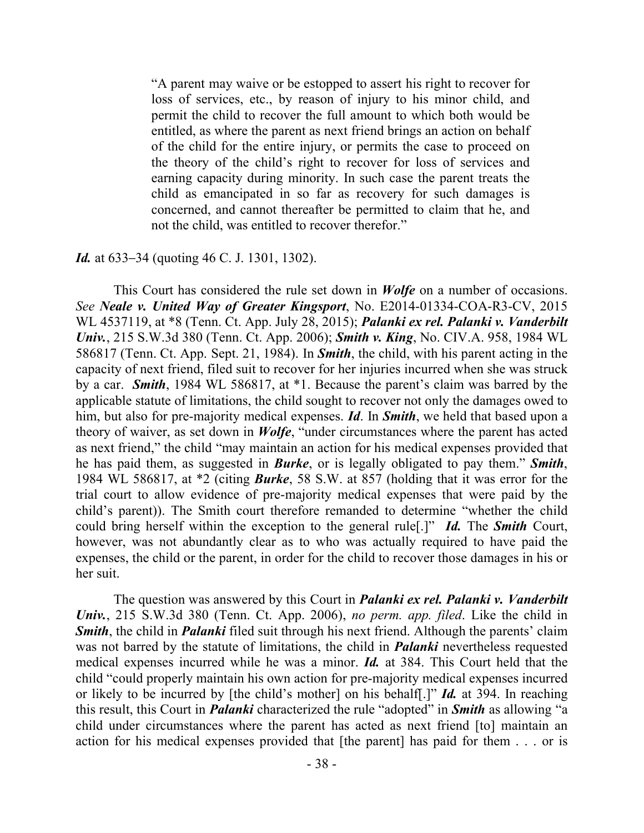"A parent may waive or be estopped to assert his right to recover for loss of services, etc., by reason of injury to his minor child, and permit the child to recover the full amount to which both would be entitled, as where the parent as next friend brings an action on behalf of the child for the entire injury, or permits the case to proceed on the theory of the child's right to recover for loss of services and earning capacity during minority. In such case the parent treats the child as emancipated in so far as recovery for such damages is concerned, and cannot thereafter be permitted to claim that he, and not the child, was entitled to recover therefor."

### *Id.* at 633–34 (quoting 46 C. J. 1301, 1302).

This Court has considered the rule set down in *Wolfe* on a number of occasions. *See Neale v. United Way of Greater Kingsport*, No. E2014-01334-COA-R3-CV, 2015 WL 4537119, at \*8 (Tenn. Ct. App. July 28, 2015); *Palanki ex rel. Palanki v. Vanderbilt Univ.*, 215 S.W.3d 380 (Tenn. Ct. App. 2006); *Smith v. King*, No. CIV.A. 958, 1984 WL 586817 (Tenn. Ct. App. Sept. 21, 1984). In *Smith*, the child, with his parent acting in the capacity of next friend, filed suit to recover for her injuries incurred when she was struck by a car. *Smith*, 1984 WL 586817, at \*1. Because the parent's claim was barred by the applicable statute of limitations, the child sought to recover not only the damages owed to him, but also for pre-majority medical expenses. *Id*. In *Smith*, we held that based upon a theory of waiver, as set down in *Wolfe*, "under circumstances where the parent has acted as next friend," the child "may maintain an action for his medical expenses provided that he has paid them, as suggested in *Burke*, or is legally obligated to pay them." *Smith*, 1984 WL 586817, at \*2 (citing *Burke*, 58 S.W. at 857 (holding that it was error for the trial court to allow evidence of pre-majority medical expenses that were paid by the child's parent)). The Smith court therefore remanded to determine "whether the child could bring herself within the exception to the general rule[.]" *Id.* The *Smith* Court, however, was not abundantly clear as to who was actually required to have paid the expenses, the child or the parent, in order for the child to recover those damages in his or her suit.

The question was answered by this Court in *Palanki ex rel. Palanki v. Vanderbilt Univ.*, 215 S.W.3d 380 (Tenn. Ct. App. 2006), *no perm. app. filed*. Like the child in *Smith*, the child in *Palanki* filed suit through his next friend. Although the parents' claim was not barred by the statute of limitations, the child in *Palanki* nevertheless requested medical expenses incurred while he was a minor. *Id.* at 384. This Court held that the child "could properly maintain his own action for pre-majority medical expenses incurred or likely to be incurred by [the child's mother] on his behalf[.]" *Id.* at 394. In reaching this result, this Court in *Palanki* characterized the rule "adopted" in *Smith* as allowing "a child under circumstances where the parent has acted as next friend [to] maintain an action for his medical expenses provided that [the parent] has paid for them . . . or is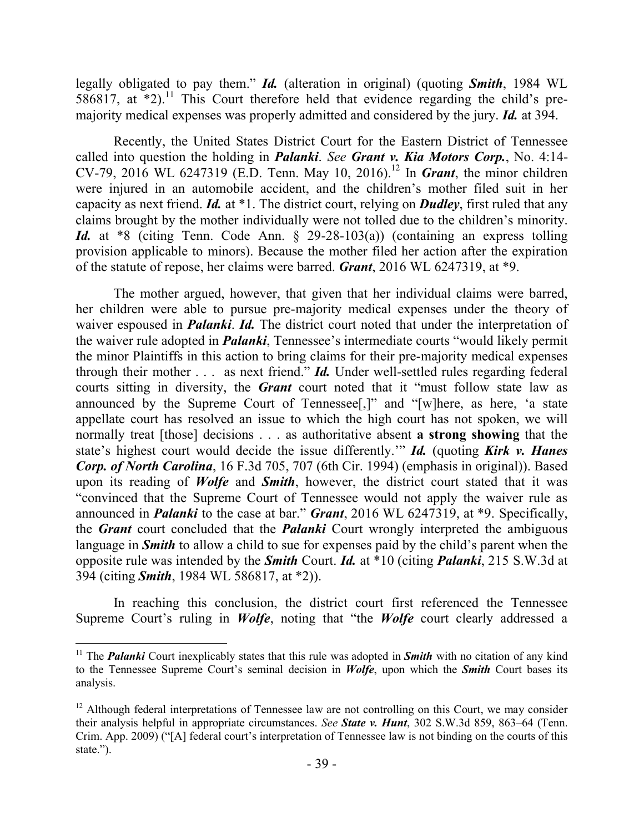legally obligated to pay them." *Id.* (alteration in original) (quoting *Smith*, 1984 WL 586817, at  $*2$ ).<sup>11</sup> This Court therefore held that evidence regarding the child's premajority medical expenses was properly admitted and considered by the jury. *Id.* at 394.

Recently, the United States District Court for the Eastern District of Tennessee called into question the holding in *Palanki*. *See Grant v. Kia Motors Corp.*, No. 4:14- CV-79, 2016 WL 6247319 (E.D. Tenn. May 10, 2016).<sup>12</sup> In *Grant*, the minor children were injured in an automobile accident, and the children's mother filed suit in her capacity as next friend. *Id.* at \*1. The district court, relying on *Dudley*, first ruled that any claims brought by the mother individually were not tolled due to the children's minority. *Id.* at \*8 (citing Tenn. Code Ann. § 29-28-103(a)) (containing an express tolling provision applicable to minors). Because the mother filed her action after the expiration of the statute of repose, her claims were barred. *Grant*, 2016 WL 6247319, at \*9.

The mother argued, however, that given that her individual claims were barred, her children were able to pursue pre-majority medical expenses under the theory of waiver espoused in *Palanki*. *Id.* The district court noted that under the interpretation of the waiver rule adopted in *Palanki*, Tennessee's intermediate courts "would likely permit the minor Plaintiffs in this action to bring claims for their pre-majority medical expenses through their mother . . . as next friend." *Id.* Under well-settled rules regarding federal courts sitting in diversity, the *Grant* court noted that it "must follow state law as announced by the Supreme Court of Tennessee[,]" and "[w]here, as here, 'a state appellate court has resolved an issue to which the high court has not spoken, we will normally treat [those] decisions . . . as authoritative absent **a strong showing** that the state's highest court would decide the issue differently.'" *Id.* (quoting *Kirk v. Hanes Corp. of North Carolina*, 16 F.3d 705, 707 (6th Cir. 1994) (emphasis in original)). Based upon its reading of *Wolfe* and *Smith*, however, the district court stated that it was "convinced that the Supreme Court of Tennessee would not apply the waiver rule as announced in *Palanki* to the case at bar." *Grant*, 2016 WL 6247319, at \*9. Specifically, the *Grant* court concluded that the *Palanki* Court wrongly interpreted the ambiguous language in *Smith* to allow a child to sue for expenses paid by the child's parent when the opposite rule was intended by the *Smith* Court. *Id.* at \*10 (citing *Palanki*, 215 S.W.3d at 394 (citing *Smith*, 1984 WL 586817, at \*2)).

In reaching this conclusion, the district court first referenced the Tennessee Supreme Court's ruling in *Wolfe*, noting that "the *Wolfe* court clearly addressed a

 $\overline{a}$ 

<sup>&</sup>lt;sup>11</sup> The *Palanki* Court inexplicably states that this rule was adopted in **Smith** with no citation of any kind to the Tennessee Supreme Court's seminal decision in *Wolfe*, upon which the *Smith* Court bases its analysis.

 $12$  Although federal interpretations of Tennessee law are not controlling on this Court, we may consider their analysis helpful in appropriate circumstances. *See State v. Hunt*, 302 S.W.3d 859, 863–64 (Tenn. Crim. App. 2009) ("[A] federal court's interpretation of Tennessee law is not binding on the courts of this state.").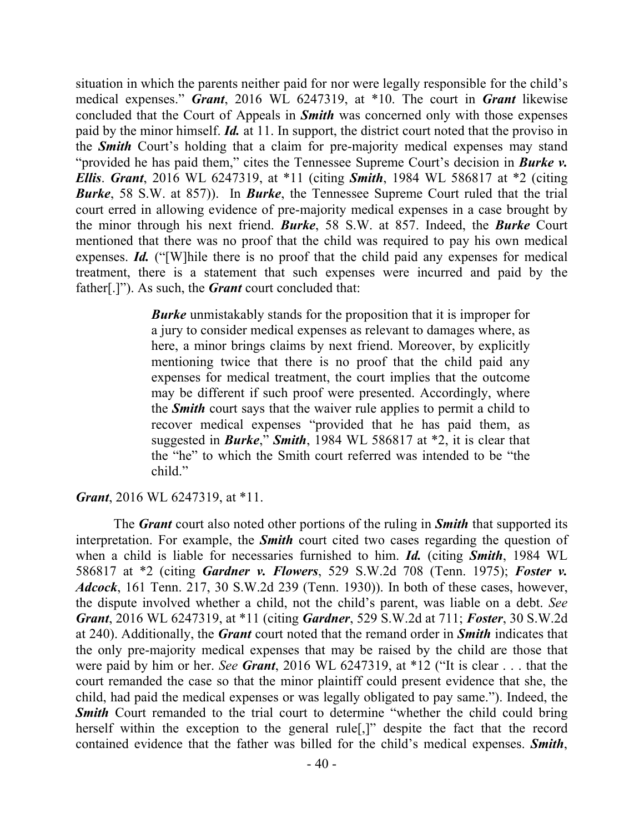situation in which the parents neither paid for nor were legally responsible for the child's medical expenses." *Grant*, 2016 WL 6247319, at \*10. The court in *Grant* likewise concluded that the Court of Appeals in *Smith* was concerned only with those expenses paid by the minor himself. *Id.* at 11. In support, the district court noted that the proviso in the *Smith* Court's holding that a claim for pre-majority medical expenses may stand "provided he has paid them," cites the Tennessee Supreme Court's decision in *Burke v. Ellis*. *Grant*, 2016 WL 6247319, at \*11 (citing *Smith*, 1984 WL 586817 at \*2 (citing *Burke*, 58 S.W. at 857)). In *Burke*, the Tennessee Supreme Court ruled that the trial court erred in allowing evidence of pre-majority medical expenses in a case brought by the minor through his next friend. *Burke*, 58 S.W. at 857. Indeed, the *Burke* Court mentioned that there was no proof that the child was required to pay his own medical expenses. *Id.* ("[W]hile there is no proof that the child paid any expenses for medical treatment, there is a statement that such expenses were incurred and paid by the father[.]"). As such, the *Grant* court concluded that:

> *Burke* unmistakably stands for the proposition that it is improper for a jury to consider medical expenses as relevant to damages where, as here, a minor brings claims by next friend. Moreover, by explicitly mentioning twice that there is no proof that the child paid any expenses for medical treatment, the court implies that the outcome may be different if such proof were presented. Accordingly, where the *Smith* court says that the waiver rule applies to permit a child to recover medical expenses "provided that he has paid them, as suggested in *Burke*," *Smith*, 1984 WL 586817 at \*2, it is clear that the "he" to which the Smith court referred was intended to be "the child."

*Grant*, 2016 WL 6247319, at \*11.

The *Grant* court also noted other portions of the ruling in *Smith* that supported its interpretation. For example, the *Smith* court cited two cases regarding the question of when a child is liable for necessaries furnished to him. *Id.* (citing *Smith*, 1984 WL 586817 at \*2 (citing *Gardner v. Flowers*, 529 S.W.2d 708 (Tenn. 1975); *Foster v. Adcock*, 161 Tenn. 217, 30 S.W.2d 239 (Tenn. 1930)). In both of these cases, however, the dispute involved whether a child, not the child's parent, was liable on a debt. *See Grant*, 2016 WL 6247319, at \*11 (citing *Gardner*, 529 S.W.2d at 711; *Foster*, 30 S.W.2d at 240). Additionally, the *Grant* court noted that the remand order in *Smith* indicates that the only pre-majority medical expenses that may be raised by the child are those that were paid by him or her. *See Grant*, 2016 WL 6247319, at \*12 ("It is clear . . . that the court remanded the case so that the minor plaintiff could present evidence that she, the child, had paid the medical expenses or was legally obligated to pay same."). Indeed, the **Smith** Court remanded to the trial court to determine "whether the child could bring herself within the exception to the general rule<sup>[1]</sup> despite the fact that the record contained evidence that the father was billed for the child's medical expenses. *Smith*,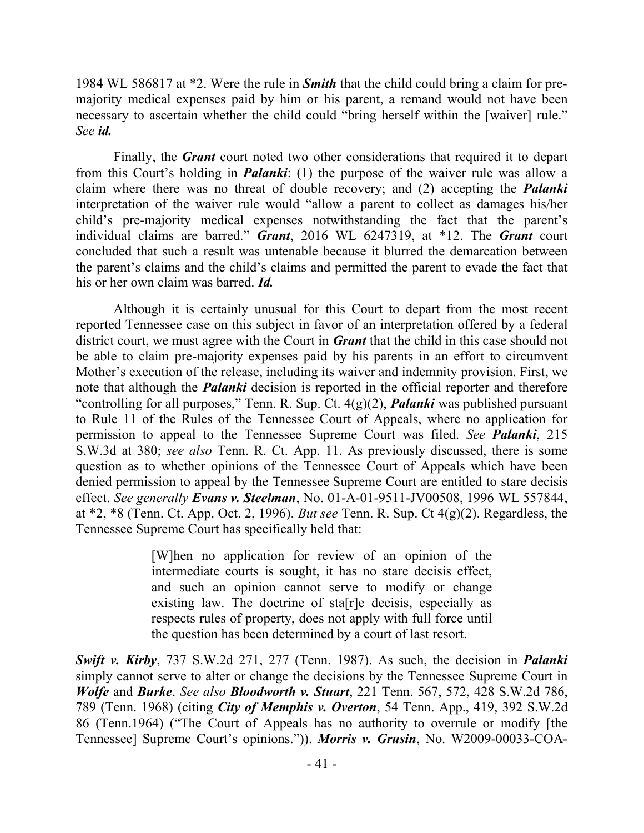1984 WL 586817 at \*2. Were the rule in *Smith* that the child could bring a claim for premajority medical expenses paid by him or his parent, a remand would not have been necessary to ascertain whether the child could "bring herself within the [waiver] rule." *See id.*

Finally, the *Grant* court noted two other considerations that required it to depart from this Court's holding in *Palanki*: (1) the purpose of the waiver rule was allow a claim where there was no threat of double recovery; and (2) accepting the *Palanki* interpretation of the waiver rule would "allow a parent to collect as damages his/her child's pre-majority medical expenses notwithstanding the fact that the parent's individual claims are barred." *Grant*, 2016 WL 6247319, at \*12. The *Grant* court concluded that such a result was untenable because it blurred the demarcation between the parent's claims and the child's claims and permitted the parent to evade the fact that his or her own claim was barred. *Id.* 

Although it is certainly unusual for this Court to depart from the most recent reported Tennessee case on this subject in favor of an interpretation offered by a federal district court, we must agree with the Court in *Grant* that the child in this case should not be able to claim pre-majority expenses paid by his parents in an effort to circumvent Mother's execution of the release, including its waiver and indemnity provision. First, we note that although the *Palanki* decision is reported in the official reporter and therefore "controlling for all purposes," Tenn. R. Sup. Ct. 4(g)(2), *Palanki* was published pursuant to Rule 11 of the Rules of the Tennessee Court of Appeals, where no application for permission to appeal to the Tennessee Supreme Court was filed. *See Palanki*, 215 S.W.3d at 380; *see also* Tenn. R. Ct. App. 11. As previously discussed, there is some question as to whether opinions of the Tennessee Court of Appeals which have been denied permission to appeal by the Tennessee Supreme Court are entitled to stare decisis effect. *See generally Evans v. Steelman*, No. 01-A-01-9511-JV00508, 1996 WL 557844, at \*2, \*8 (Tenn. Ct. App. Oct. 2, 1996). *But see* Tenn. R. Sup. Ct 4(g)(2). Regardless, the Tennessee Supreme Court has specifically held that:

> [W]hen no application for review of an opinion of the intermediate courts is sought, it has no stare decisis effect, and such an opinion cannot serve to modify or change existing law. The doctrine of sta[r]e decisis, especially as respects rules of property, does not apply with full force until the question has been determined by a court of last resort.

*Swift v. Kirby*, 737 S.W.2d 271, 277 (Tenn. 1987). As such, the decision in *Palanki* simply cannot serve to alter or change the decisions by the Tennessee Supreme Court in *Wolfe* and *Burke*. *See also Bloodworth v. Stuart*, 221 Tenn. 567, 572, 428 S.W.2d 786, 789 (Tenn. 1968) (citing *City of Memphis v. Overton*, 54 Tenn. App., 419, 392 S.W.2d 86 (Tenn.1964) ("The Court of Appeals has no authority to overrule or modify [the Tennessee] Supreme Court's opinions.")). *Morris v. Grusin*, No. W2009-00033-COA-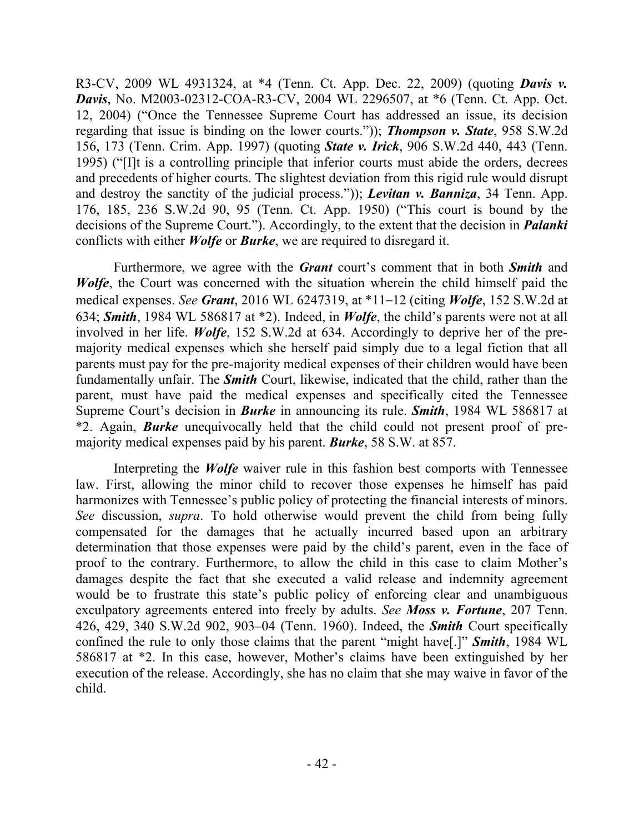R3-CV, 2009 WL 4931324, at \*4 (Tenn. Ct. App. Dec. 22, 2009) (quoting *Davis v. Davis*, No. M2003-02312-COA-R3-CV, 2004 WL 2296507, at \*6 (Tenn. Ct. App. Oct. 12, 2004) ("Once the Tennessee Supreme Court has addressed an issue, its decision regarding that issue is binding on the lower courts.")); *Thompson v. State*, 958 S.W.2d 156, 173 (Tenn. Crim. App. 1997) (quoting *State v. Irick*, 906 S.W.2d 440, 443 (Tenn. 1995) ("[I]t is a controlling principle that inferior courts must abide the orders, decrees and precedents of higher courts. The slightest deviation from this rigid rule would disrupt and destroy the sanctity of the judicial process.")); *Levitan v. Banniza*, 34 Tenn. App. 176, 185, 236 S.W.2d 90, 95 (Tenn. Ct. App. 1950) ("This court is bound by the decisions of the Supreme Court."). Accordingly, to the extent that the decision in *Palanki* conflicts with either *Wolfe* or *Burke*, we are required to disregard it.

Furthermore, we agree with the *Grant* court's comment that in both *Smith* and *Wolfe*, the Court was concerned with the situation wherein the child himself paid the medical expenses. *See Grant*, 2016 WL 6247319, at \*11–12 (citing *Wolfe*, 152 S.W.2d at 634; *Smith*, 1984 WL 586817 at \*2). Indeed, in *Wolfe*, the child's parents were not at all involved in her life. *Wolfe*, 152 S.W.2d at 634. Accordingly to deprive her of the premajority medical expenses which she herself paid simply due to a legal fiction that all parents must pay for the pre-majority medical expenses of their children would have been fundamentally unfair. The *Smith* Court, likewise, indicated that the child, rather than the parent, must have paid the medical expenses and specifically cited the Tennessee Supreme Court's decision in *Burke* in announcing its rule. *Smith*, 1984 WL 586817 at \*2. Again, *Burke* unequivocally held that the child could not present proof of premajority medical expenses paid by his parent. *Burke*, 58 S.W. at 857.

Interpreting the *Wolfe* waiver rule in this fashion best comports with Tennessee law. First, allowing the minor child to recover those expenses he himself has paid harmonizes with Tennessee's public policy of protecting the financial interests of minors. *See* discussion, *supra*. To hold otherwise would prevent the child from being fully compensated for the damages that he actually incurred based upon an arbitrary determination that those expenses were paid by the child's parent, even in the face of proof to the contrary. Furthermore, to allow the child in this case to claim Mother's damages despite the fact that she executed a valid release and indemnity agreement would be to frustrate this state's public policy of enforcing clear and unambiguous exculpatory agreements entered into freely by adults. *See Moss v. Fortune*, 207 Tenn. 426, 429, 340 S.W.2d 902, 903–04 (Tenn. 1960). Indeed, the *Smith* Court specifically confined the rule to only those claims that the parent "might have[.]" *Smith*, 1984 WL 586817 at \*2. In this case, however, Mother's claims have been extinguished by her execution of the release. Accordingly, she has no claim that she may waive in favor of the child.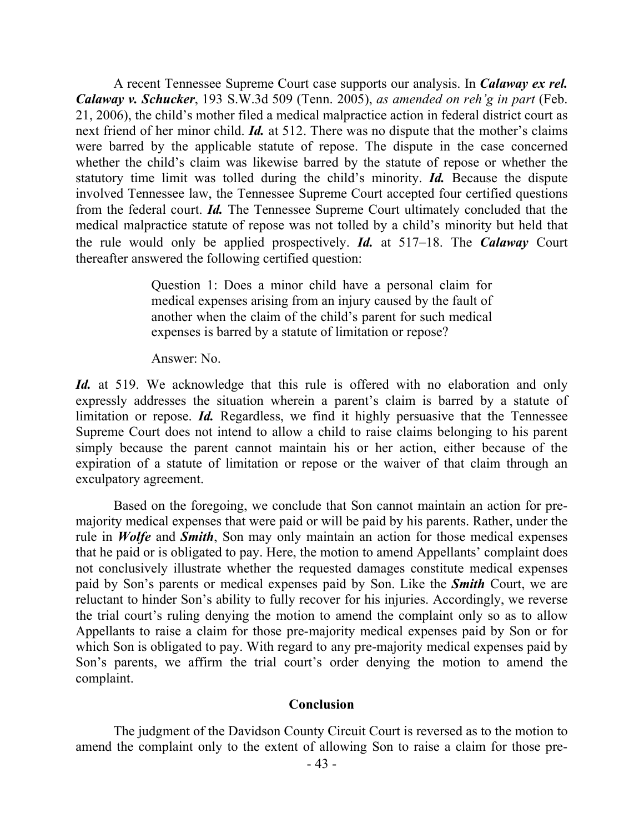A recent Tennessee Supreme Court case supports our analysis. In *Calaway ex rel. Calaway v. Schucker*, 193 S.W.3d 509 (Tenn. 2005), *as amended on reh'g in part* (Feb. 21, 2006), the child's mother filed a medical malpractice action in federal district court as next friend of her minor child. *Id.* at 512. There was no dispute that the mother's claims were barred by the applicable statute of repose. The dispute in the case concerned whether the child's claim was likewise barred by the statute of repose or whether the statutory time limit was tolled during the child's minority. *Id.* Because the dispute involved Tennessee law, the Tennessee Supreme Court accepted four certified questions from the federal court. *Id.* The Tennessee Supreme Court ultimately concluded that the medical malpractice statute of repose was not tolled by a child's minority but held that the rule would only be applied prospectively. *Id.* at 517–18. The *Calaway* Court thereafter answered the following certified question:

> Question 1: Does a minor child have a personal claim for medical expenses arising from an injury caused by the fault of another when the claim of the child's parent for such medical expenses is barred by a statute of limitation or repose?

Answer: No.

*Id.* at 519. We acknowledge that this rule is offered with no elaboration and only expressly addresses the situation wherein a parent's claim is barred by a statute of limitation or repose. *Id.* Regardless, we find it highly persuasive that the Tennessee Supreme Court does not intend to allow a child to raise claims belonging to his parent simply because the parent cannot maintain his or her action, either because of the expiration of a statute of limitation or repose or the waiver of that claim through an exculpatory agreement.

Based on the foregoing, we conclude that Son cannot maintain an action for premajority medical expenses that were paid or will be paid by his parents. Rather, under the rule in *Wolfe* and *Smith*, Son may only maintain an action for those medical expenses that he paid or is obligated to pay. Here, the motion to amend Appellants' complaint does not conclusively illustrate whether the requested damages constitute medical expenses paid by Son's parents or medical expenses paid by Son. Like the *Smith* Court, we are reluctant to hinder Son's ability to fully recover for his injuries. Accordingly, we reverse the trial court's ruling denying the motion to amend the complaint only so as to allow Appellants to raise a claim for those pre-majority medical expenses paid by Son or for which Son is obligated to pay. With regard to any pre-majority medical expenses paid by Son's parents, we affirm the trial court's order denying the motion to amend the complaint.

## **Conclusion**

The judgment of the Davidson County Circuit Court is reversed as to the motion to amend the complaint only to the extent of allowing Son to raise a claim for those pre